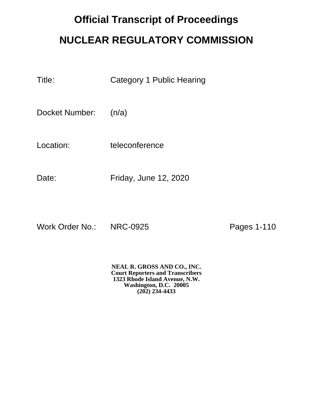## **Official Transcript of Proceedings NUCLEAR REGULATORY COMMISSION**

| Title: | <b>Category 1 Public Hearing</b> |  |
|--------|----------------------------------|--|
|        |                                  |  |

Docket Number: (n/a)

Location: teleconference

Date: Friday, June 12, 2020

Work Order No.: NRC-0925 Pages 1-110

**NEAL R. GROSS AND CO., INC. Court Reporters and Transcribers 1323 Rhode Island Avenue, N.W. Washington, D.C. 20005 (202) 234-4433**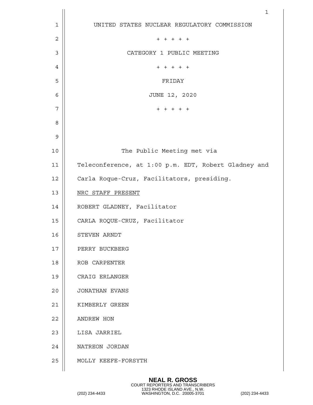|             | $\mathbf 1$                                          |
|-------------|------------------------------------------------------|
| $\mathbf 1$ | UNITED STATES NUCLEAR REGULATORY COMMISSION          |
| 2           | $+ + + + +$                                          |
| 3           | CATEGORY 1 PUBLIC MEETING                            |
| 4           | $+ + + + + +$                                        |
| 5           | FRIDAY                                               |
| 6           | JUNE 12, 2020                                        |
| 7           | $+ + + + + +$                                        |
| 8           |                                                      |
| 9           |                                                      |
| 10          | The Public Meeting met via                           |
| 11          | Teleconference, at 1:00 p.m. EDT, Robert Gladney and |
| 12          | Carla Roque-Cruz, Facilitators, presiding.           |
| 13          | NRC STAFF PRESENT                                    |
| 14          | ROBERT GLADNEY, Facilitator                          |
| 15          | CARLA ROQUE-CRUZ, Facilitator                        |
| 16          | STEVEN ARNDT                                         |
| 17          | PERRY BUCKBERG                                       |
| 18          | ROB CARPENTER                                        |
| 19          | CRAIG ERLANGER                                       |
| 20          | JONATHAN EVANS                                       |
| 21          | KIMBERLY GREEN                                       |
| 22          | ANDREW HON                                           |
| 23          | LISA JARRIEL                                         |
| 24          | NATREON JORDAN                                       |
| 25          | MOLLY KEEFE-FORSYTH                                  |
|             |                                                      |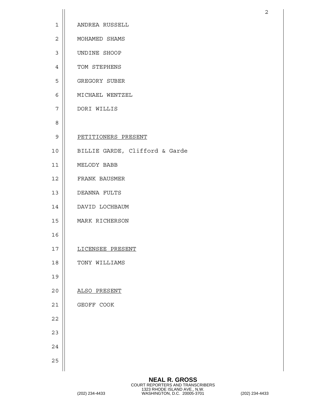| $\mathbf 1$    | ANDREA RUSSELL                 |
|----------------|--------------------------------|
| $\overline{2}$ | MOHAMED SHAMS                  |
| 3              | UNDINE SHOOP                   |
| 4              | TOM STEPHENS                   |
| 5              | GREGORY SUBER                  |
| 6              | MICHAEL WENTZEL                |
| 7              | DORI WILLIS                    |
| 8              |                                |
| $\mathsf 9$    | PETITIONERS PRESENT            |
| 10             | BILLIE GARDE, Clifford & Garde |
| 11             | MELODY BABB                    |
| 12             | FRANK BAUSMER                  |
| 13             | DEANNA FULTS                   |
| 14             | DAVID LOCHBAUM                 |
| 15             | MARK RICHERSON                 |
| 16             |                                |
| 17             | LICENSEE PRESENT               |
| 18             | TONY WILLIAMS                  |
| 19             |                                |
| 20             | ALSO PRESENT                   |
| 21             | GEOFF COOK                     |
| 22             |                                |
| 23             |                                |
| 24             |                                |
| 25             |                                |
|                |                                |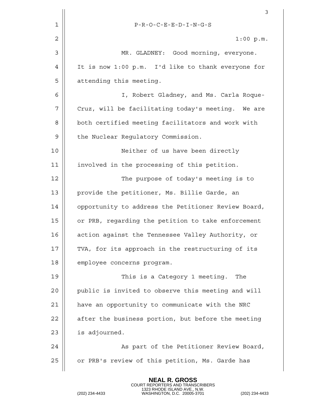|    | 3                                                   |
|----|-----------------------------------------------------|
| 1  | $P-R-O-C-E-E-D-I-N-G-S\\$                           |
| 2  | 1:00 p.m.                                           |
| 3  | MR. GLADNEY: Good morning, everyone.                |
| 4  | It is now 1:00 p.m. I'd like to thank everyone for  |
| 5  | attending this meeting.                             |
| 6  | I, Robert Gladney, and Ms. Carla Roque-             |
| 7  | Cruz, will be facilitating today's meeting. We are  |
| 8  | both certified meeting facilitators and work with   |
| 9  | the Nuclear Regulatory Commission.                  |
| 10 | Neither of us have been directly                    |
| 11 | involved in the processing of this petition.        |
| 12 | The purpose of today's meeting is to                |
| 13 | provide the petitioner, Ms. Billie Garde, an        |
| 14 | opportunity to address the Petitioner Review Board, |
| 15 | or PRB, regarding the petition to take enforcement  |
| 16 | action against the Tennessee Valley Authority, or   |
| 17 | TVA, for its approach in the restructuring of its   |
| 18 | employee concerns program.                          |
| 19 | This is a Category 1 meeting.<br>The                |
| 20 | public is invited to observe this meeting and will  |
| 21 | have an opportunity to communicate with the NRC     |
| 22 | after the business portion, but before the meeting  |
| 23 | is adjourned.                                       |
| 24 | As part of the Petitioner Review Board,             |
| 25 | or PRB's review of this petition, Ms. Garde has     |
|    |                                                     |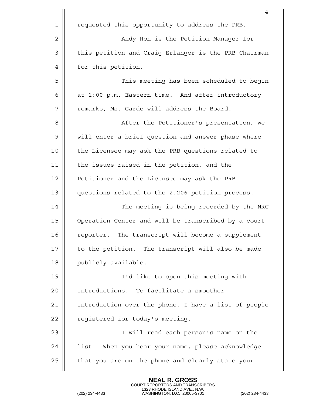|    | 4                                                    |
|----|------------------------------------------------------|
| 1  | requested this opportunity to address the PRB.       |
| 2  | Andy Hon is the Petition Manager for                 |
| 3  | this petition and Craig Erlanger is the PRB Chairman |
| 4  | for this petition.                                   |
| 5  | This meeting has been scheduled to begin             |
| 6  | at 1:00 p.m. Eastern time. And after introductory    |
| 7  | remarks, Ms. Garde will address the Board.           |
| 8  | After the Petitioner's presentation, we              |
| 9  | will enter a brief question and answer phase where   |
| 10 | the Licensee may ask the PRB questions related to    |
| 11 | the issues raised in the petition, and the           |
| 12 | Petitioner and the Licensee may ask the PRB          |
| 13 | questions related to the 2.206 petition process.     |
| 14 | The meeting is being recorded by the NRC             |
| 15 | Operation Center and will be transcribed by a court  |
| 16 | The transcript will become a supplement<br>reporter. |
| 17 | to the petition. The transcript will also be made    |
| 18 | publicly available.                                  |
| 19 | I'd like to open this meeting with                   |
| 20 | introductions. To facilitate a smoother              |
| 21 | introduction over the phone, I have a list of people |
| 22 | registered for today's meeting.                      |
| 23 | I will read each person's name on the                |
| 24 | list. When you hear your name, please acknowledge    |
| 25 | that you are on the phone and clearly state your     |
|    |                                                      |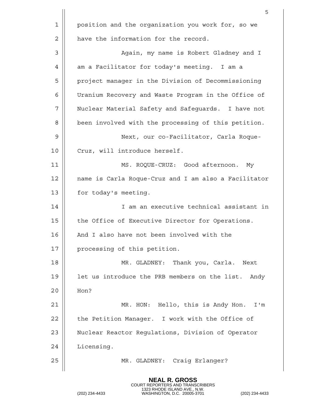|    | 5                                                    |
|----|------------------------------------------------------|
| 1  | position and the organization you work for, so we    |
| 2  | have the information for the record.                 |
| 3  | Again, my name is Robert Gladney and I               |
| 4  | am a Facilitator for today's meeting. I am a         |
| 5  | project manager in the Division of Decommissioning   |
| 6  | Uranium Recovery and Waste Program in the Office of  |
| 7  | Nuclear Material Safety and Safeguards. I have not   |
| 8  | been involved with the processing of this petition.  |
| 9  | Next, our co-Facilitator, Carla Roque-               |
| 10 | Cruz, will introduce herself.                        |
| 11 | MS. ROQUE-CRUZ: Good afternoon.<br>Мy                |
| 12 | name is Carla Roque-Cruz and I am also a Facilitator |
| 13 | for today's meeting.                                 |
| 14 | I am an executive technical assistant in             |
| 15 | the Office of Executive Director for Operations.     |
| 16 | And I also have not been involved with the           |
| 17 | processing of this petition.                         |
| 18 | MR. GLADNEY: Thank you, Carla.<br>Next               |
| 19 | let us introduce the PRB members on the list. Andy   |
| 20 | Hon?                                                 |
| 21 | MR. HON: Hello, this is Andy Hon.<br>I'm             |
| 22 | the Petition Manager. I work with the Office of      |
| 23 | Nuclear Reactor Regulations, Division of Operator    |
| 24 | Licensing.                                           |
| 25 | MR. GLADNEY: Craig Erlanger?                         |
|    |                                                      |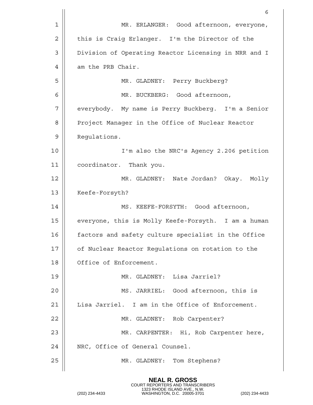|                | 6                                                    |
|----------------|------------------------------------------------------|
| $\mathbf 1$    | MR. ERLANGER: Good afternoon, everyone,              |
| $\overline{2}$ | this is Craig Erlanger. I'm the Director of the      |
| 3              | Division of Operating Reactor Licensing in NRR and I |
| 4              | am the PRB Chair.                                    |
| 5              | MR. GLADNEY: Perry Buckberg?                         |
| 6              | MR. BUCKBERG: Good afternoon,                        |
| 7              | everybody. My name is Perry Buckberg. I'm a Senior   |
| 8              | Project Manager in the Office of Nuclear Reactor     |
| 9              | Requlations.                                         |
| 10             | I'm also the NRC's Agency 2.206 petition             |
| 11             | coordinator. Thank you.                              |
| 12             | MR. GLADNEY: Nate Jordan? Okay. Molly                |
| 13             | Keefe-Forsyth?                                       |
| 14             | MS. KEEFE-FORSYTH: Good afternoon,                   |
| 15             | everyone, this is Molly Keefe-Forsyth. I am a human  |
| 16             | factors and safety culture specialist in the Office  |
| 17             | of Nuclear Reactor Regulations on rotation to the    |
| 18             | Office of Enforcement.                               |
| 19             | MR. GLADNEY: Lisa Jarriel?                           |
| 20             | MS. JARRIEL: Good afternoon, this is                 |
| 21             | Lisa Jarriel. I am in the Office of Enforcement.     |
| 22             | MR. GLADNEY: Rob Carpenter?                          |
| 23             | MR. CARPENTER: Hi, Rob Carpenter here,               |
| 24             | NRC, Office of General Counsel.                      |
| 25             | MR. GLADNEY: Tom Stephens?                           |
|                |                                                      |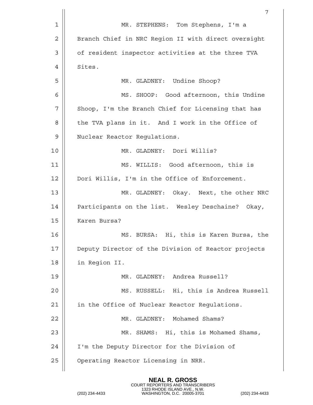|                | 7                                                   |
|----------------|-----------------------------------------------------|
| $\mathbf 1$    | MR. STEPHENS: Tom Stephens, I'm a                   |
| $\overline{2}$ | Branch Chief in NRC Region II with direct oversight |
| 3              | of resident inspector activities at the three TVA   |
| 4              | Sites.                                              |
| 5              | MR. GLADNEY: Undine Shoop?                          |
| 6              | MS. SHOOP: Good afternoon, this Undine              |
| 7              | Shoop, I'm the Branch Chief for Licensing that has  |
| 8              | the TVA plans in it. And I work in the Office of    |
| 9              | Nuclear Reactor Regulations.                        |
| 10             | MR. GLADNEY: Dori Willis?                           |
| 11             | MS. WILLIS: Good afternoon, this is                 |
| 12             | Dori Willis, I'm in the Office of Enforcement.      |
| 13             | MR. GLADNEY: Okay. Next, the other NRC              |
| 14             | Participants on the list. Wesley Deschaine? Okay,   |
| 15             | Karen Bursa?                                        |
| 16             | Hi, this is Karen Bursa, the<br>MS. BURSA:          |
| 17             | Deputy Director of the Division of Reactor projects |
| 18             | in Region II.                                       |
| 19             | MR. GLADNEY: Andrea Russell?                        |
| 20             | MS. RUSSELL: Hi, this is Andrea Russell             |
| 21             | in the Office of Nuclear Reactor Regulations.       |
| 22             | MR. GLADNEY: Mohamed Shams?                         |
| 23             | MR. SHAMS: Hi, this is Mohamed Shams,               |
| 24             | I'm the Deputy Director for the Division of         |
| 25             | Operating Reactor Licensing in NRR.                 |
|                |                                                     |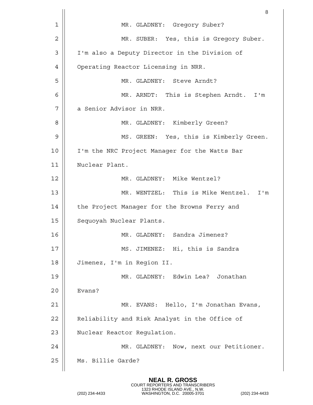|    | 8                                             |
|----|-----------------------------------------------|
| 1  | MR. GLADNEY: Gregory Suber?                   |
| 2  | MR. SUBER: Yes, this is Gregory Suber.        |
| 3  | I'm also a Deputy Director in the Division of |
| 4  | Operating Reactor Licensing in NRR.           |
| 5  | MR. GLADNEY: Steve Arndt?                     |
| 6  | MR. ARNDT: This is Stephen Arndt. I'm         |
| 7  | a Senior Advisor in NRR.                      |
| 8  | MR. GLADNEY: Kimberly Green?                  |
| 9  | MS. GREEN: Yes, this is Kimberly Green.       |
| 10 | I'm the NRC Project Manager for the Watts Bar |
| 11 | Nuclear Plant.                                |
| 12 | MR. GLADNEY: Mike Wentzel?                    |
| 13 | MR. WENTZEL: This is Mike Wentzel. I'm        |
| 14 | the Project Manager for the Browns Ferry and  |
| 15 | Sequoyah Nuclear Plants.                      |
| 16 | MR. GLADNEY: Sandra Jimenez?                  |
| 17 | MS. JIMENEZ: Hi, this is Sandra               |
| 18 | Jimenez, I'm in Region II.                    |
| 19 | MR. GLADNEY: Edwin Lea? Jonathan              |
| 20 | Evans?                                        |
| 21 | MR. EVANS: Hello, I'm Jonathan Evans,         |
| 22 | Reliability and Risk Analyst in the Office of |
| 23 | Nuclear Reactor Regulation.                   |
| 24 | MR. GLADNEY: Now, next our Petitioner.        |
| 25 | Ms. Billie Garde?                             |
|    |                                               |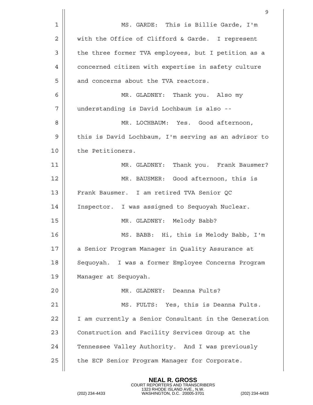|    | 9                                                    |
|----|------------------------------------------------------|
| 1  | MS. GARDE: This is Billie Garde, I'm                 |
| 2  | with the Office of Clifford & Garde. I represent     |
| 3  | the three former TVA employees, but I petition as a  |
| 4  | concerned citizen with expertise in safety culture   |
| 5  | and concerns about the TVA reactors.                 |
| 6  | MR. GLADNEY: Thank you. Also my                      |
| 7  | understanding is David Lochbaum is also --           |
| 8  | MR. LOCHBAUM: Yes. Good afternoon,                   |
| 9  | this is David Lochbaum, I'm serving as an advisor to |
| 10 | the Petitioners.                                     |
| 11 | MR. GLADNEY: Thank you. Frank Bausmer?               |
| 12 | MR. BAUSMER: Good afternoon, this is                 |
| 13 | Frank Bausmer. I am retired TVA Senior QC            |
| 14 | Inspector. I was assigned to Sequoyah Nuclear.       |
| 15 | MR. GLADNEY: Melody Babb?                            |
| 16 | MS. BABB: Hi, this is Melody Babb, I'm               |
| 17 | a Senior Program Manager in Quality Assurance at     |
| 18 | Sequoyah. I was a former Employee Concerns Program   |
| 19 | Manager at Sequoyah.                                 |
| 20 | MR. GLADNEY: Deanna Fults?                           |
| 21 | MS. FULTS: Yes, this is Deanna Fults.                |
| 22 | I am currently a Senior Consultant in the Generation |
| 23 | Construction and Facility Services Group at the      |
| 24 | Tennessee Valley Authority. And I was previously     |
| 25 | the ECP Senior Program Manager for Corporate.        |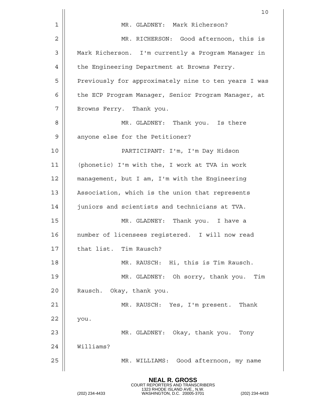|    | 10                                                   |
|----|------------------------------------------------------|
| 1  | MR. GLADNEY: Mark Richerson?                         |
| 2  | MR. RICHERSON: Good afternoon, this is               |
| 3  | Mark Richerson. I'm currently a Program Manager in   |
| 4  | the Engineering Department at Browns Ferry.          |
| 5  | Previously for approximately nine to ten years I was |
| 6  | the ECP Program Manager, Senior Program Manager, at  |
| 7  | Browns Ferry. Thank you.                             |
| 8  | MR. GLADNEY: Thank you. Is there                     |
| 9  | anyone else for the Petitioner?                      |
| 10 | PARTICIPANT: I'm, I'm Day Hidson                     |
| 11 | (phonetic) I'm with the, I work at TVA in work       |
| 12 | management, but I am, I'm with the Engineering       |
| 13 | Association, which is the union that represents      |
| 14 | juniors and scientists and technicians at TVA.       |
| 15 | MR. GLADNEY: Thank you. I have a                     |
| 16 | number of licensees registered. I will now read      |
| 17 | that list. Tim Rausch?                               |
| 18 | MR. RAUSCH: Hi, this is Tim Rausch.                  |
| 19 | MR. GLADNEY: Oh sorry, thank you. Tim                |
| 20 | Rausch. Okay, thank you.                             |
| 21 | MR. RAUSCH: Yes, I'm present. Thank                  |
| 22 | you.                                                 |
| 23 | MR. GLADNEY: Okay, thank you. Tony                   |
| 24 | Williams?                                            |
| 25 | MR. WILLIAMS: Good afternoon, my name                |
|    |                                                      |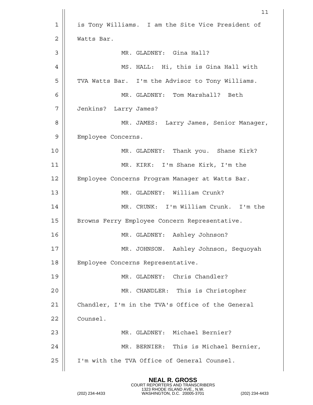|    | 11                                                |
|----|---------------------------------------------------|
| 1  | is Tony Williams. I am the Site Vice President of |
| 2  | Watts Bar.                                        |
| 3  | MR. GLADNEY: Gina Hall?                           |
| 4  | MS. HALL: Hi, this is Gina Hall with              |
| 5  | TVA Watts Bar. I'm the Advisor to Tony Williams.  |
| 6  | MR. GLADNEY: Tom Marshall? Beth                   |
| 7  | Jenkins? Larry James?                             |
| 8  | MR. JAMES: Larry James, Senior Manager,           |
| 9  | Employee Concerns.                                |
| 10 | MR. GLADNEY: Thank you. Shane Kirk?               |
| 11 | MR. KIRK: I'm Shane Kirk, I'm the                 |
| 12 | Employee Concerns Program Manager at Watts Bar.   |
| 13 | MR. GLADNEY: William Crunk?                       |
| 14 | MR. CRUNK: I'm William Crunk. I'm the             |
| 15 | Browns Ferry Employee Concern Representative.     |
| 16 | MR. GLADNEY: Ashley Johnson?                      |
| 17 | MR. JOHNSON. Ashley Johnson, Sequoyah             |
| 18 | Employee Concerns Representative.                 |
| 19 | MR. GLADNEY: Chris Chandler?                      |
| 20 | MR. CHANDLER: This is Christopher                 |
| 21 | Chandler, I'm in the TVA's Office of the General  |
| 22 | Counsel.                                          |
| 23 | MR. GLADNEY: Michael Bernier?                     |
| 24 | MR. BERNIER: This is Michael Bernier,             |
| 25 | I'm with the TVA Office of General Counsel.       |
|    |                                                   |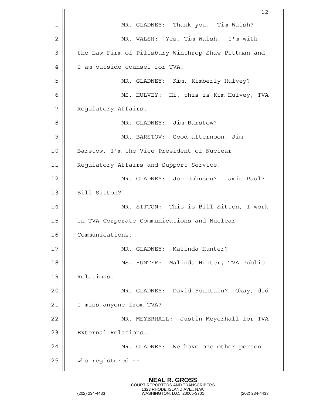|                | 12                                                  |
|----------------|-----------------------------------------------------|
| $\mathbf 1$    | MR. GLADNEY: Thank you. Tim Walsh?                  |
| $\overline{2}$ | MR. WALSH: Yes, Tim Walsh. I'm with                 |
| 3              | the Law Firm of Pillsbury Winthrop Shaw Pittman and |
| 4              | I am outside counsel for TVA.                       |
| 5              | MR. GLADNEY: Kim, Kimberly Hulvey?                  |
| 6              | MS. HULVEY: Hi, this is Kim Hulvey, TVA             |
| 7              | Regulatory Affairs.                                 |
| 8              | MR. GLADNEY: Jim Barstow?                           |
| 9              | MR. BARSTOW: Good afternoon, Jim                    |
| 10             | Barstow, I'm the Vice President of Nuclear          |
| 11             | Regulatory Affairs and Support Service.             |
| 12             | MR. GLADNEY: Jon Johnson? Jamie Paul?               |
| 13             | Bill Sitton?                                        |
| 14             | MR. SITTON: This is Bill Sitton, I work             |
| 15             | in TVA Corporate Communications and Nuclear         |
| 16             | Communications.                                     |
| 17             | MR. GLADNEY: Malinda Hunter?                        |
| 18             | MS. HUNTER: Malinda Hunter, TVA Public              |
| 19             | Relations.                                          |
| 20             | MR. GLADNEY: David Fountain? Okay, did              |
| 21             | I miss anyone from TVA?                             |
| 22             | MR. MEYERHALL: Justin Meyerhall for TVA             |
| 23             | External Relations.                                 |
| 24             | MR. GLADNEY: We have one other person               |
| 25             | who registered --                                   |
|                |                                                     |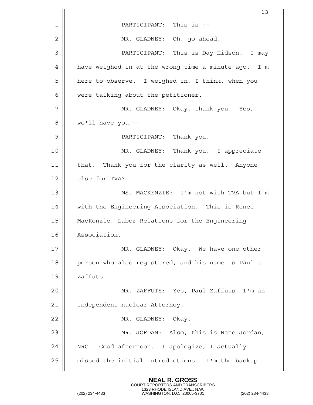|    | 13                                                  |
|----|-----------------------------------------------------|
| 1  | PARTICIPANT: This is --                             |
| 2  | MR. GLADNEY: Oh, go ahead.                          |
| 3  | PARTICIPANT: This is Day Hidson. I may              |
| 4  | have weighed in at the wrong time a minute ago. I'm |
| 5  | here to observe. I weighed in, I think, when you    |
| 6  | were talking about the petitioner.                  |
| 7  | MR. GLADNEY: Okay, thank you. Yes,                  |
| 8  | we'll have you --                                   |
| 9  | PARTICIPANT: Thank you.                             |
| 10 | MR. GLADNEY: Thank you. I appreciate                |
| 11 | that. Thank you for the clarity as well. Anyone     |
| 12 | else for TVA?                                       |
| 13 | MS. MACKENZIE: I'm not with TVA but I'm             |
| 14 | with the Engineering Association. This is Renee     |
| 15 | MacKenzie, Labor Relations for the Engineering      |
| 16 | Association.                                        |
| 17 | MR. GLADNEY: Okay. We have one other                |
| 18 | person who also registered, and his name is Paul J. |
| 19 | Zaffuts.                                            |
| 20 | MR. ZAFFUTS: Yes, Paul Zaffuts, I'm an              |
| 21 | independent nuclear Attorney.                       |
| 22 | MR. GLADNEY: Okay.                                  |
| 23 | MR. JORDAN: Also, this is Nate Jordan,              |
| 24 | NRC. Good afternoon. I apologize, I actually        |
| 25 | missed the initial introductions. I'm the backup    |
|    |                                                     |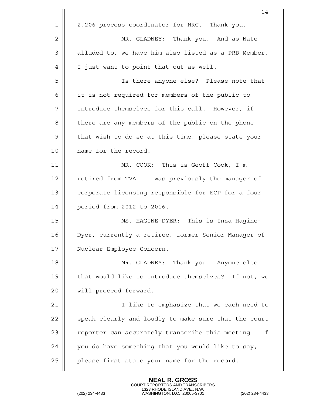|    | 14                                                     |
|----|--------------------------------------------------------|
| 1  | 2.206 process coordinator for NRC. Thank you.          |
| 2  | MR. GLADNEY: Thank you. And as Nate                    |
| 3  | alluded to, we have him also listed as a PRB Member.   |
| 4  | I just want to point that out as well.                 |
| 5  | Is there anyone else? Please note that                 |
| 6  | it is not required for members of the public to        |
| 7  | introduce themselves for this call. However, if        |
| 8  | there are any members of the public on the phone       |
| 9  | that wish to do so at this time, please state your     |
| 10 | name for the record.                                   |
| 11 | MR. COOK: This is Geoff Cook, I'm                      |
| 12 | retired from TVA. I was previously the manager of      |
| 13 | corporate licensing responsible for ECP for a four     |
| 14 | period from 2012 to 2016.                              |
| 15 | MS. HAGINE-DYER: This is Inza Hagine-                  |
| 16 | Dyer, currently a retiree, former Senior Manager of    |
| 17 | Nuclear Employee Concern.                              |
| 18 | MR. GLADNEY: Thank you. Anyone else                    |
| 19 | that would like to introduce themselves? If not, we    |
| 20 | will proceed forward.                                  |
| 21 | I like to emphasize that we each need to               |
| 22 | speak clearly and loudly to make sure that the court   |
| 23 | reporter can accurately transcribe this meeting.<br>Ιf |
| 24 | you do have something that you would like to say,      |
| 25 | please first state your name for the record.           |
|    |                                                        |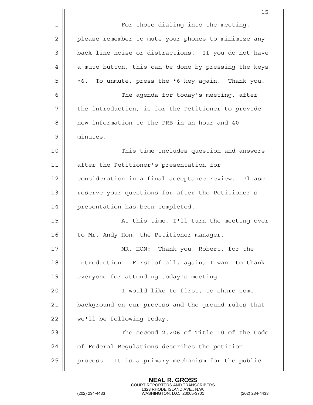|    | 15                                                   |
|----|------------------------------------------------------|
| 1  | For those dialing into the meeting,                  |
| 2  | please remember to mute your phones to minimize any  |
| 3  | back-line noise or distractions. If you do not have  |
| 4  | a mute button, this can be done by pressing the keys |
| 5  | To unmute, press the *6 key again. Thank you.<br>*6. |
| 6  | The agenda for today's meeting, after                |
| 7  | the introduction, is for the Petitioner to provide   |
| 8  | new information to the PRB in an hour and 40         |
| 9  | minutes.                                             |
| 10 | This time includes question and answers              |
| 11 | after the Petitioner's presentation for              |
| 12 | consideration in a final acceptance review. Please   |
| 13 | reserve your questions for after the Petitioner's    |
| 14 | presentation has been completed.                     |
| 15 | At this time, I'll turn the meeting over             |
| 16 | to Mr. Andy Hon, the Petitioner manager.             |
| 17 | MR. HON: Thank you, Robert, for the                  |
| 18 | introduction. First of all, again, I want to thank   |
| 19 | everyone for attending today's meeting.              |
| 20 | I would like to first, to share some                 |
| 21 | background on our process and the ground rules that  |
| 22 | we'll be following today.                            |
| 23 | The second 2.206 of Title 10 of the Code             |
| 24 | of Federal Regulations describes the petition        |
| 25 | process. It is a primary mechanism for the public    |
|    |                                                      |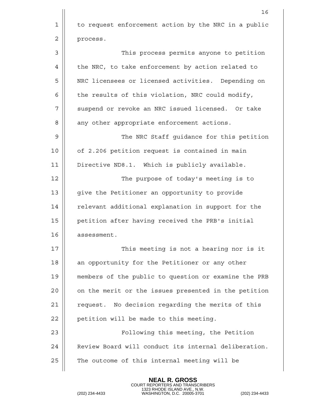|             | 16                                                   |
|-------------|------------------------------------------------------|
| $\mathbf 1$ | to request enforcement action by the NRC in a public |
| 2           | process.                                             |
| 3           | This process permits anyone to petition              |
| 4           | the NRC, to take enforcement by action related to    |
| 5           | NRC licensees or licensed activities. Depending on   |
| 6           | the results of this violation, NRC could modify,     |
| 7           | suspend or revoke an NRC issued licensed. Or take    |
| 8           | any other appropriate enforcement actions.           |
| 9           | The NRC Staff quidance for this petition             |
| 10          | of 2.206 petition request is contained in main       |
| 11          | Directive ND8.1. Which is publicly available.        |
| 12          | The purpose of today's meeting is to                 |
| 13          | give the Petitioner an opportunity to provide        |
| 14          | relevant additional explanation in support for the   |
| 15          | petition after having received the PRB's initial     |
| 16          | assessment.                                          |
| 17          | This meeting is not a hearing nor is it              |
| 18          | an opportunity for the Petitioner or any other       |
| 19          | members of the public to question or examine the PRB |
| 20          | on the merit or the issues presented in the petition |
| 21          | request. No decision regarding the merits of this    |
| 22          | petition will be made to this meeting.               |
| 23          | Following this meeting, the Petition                 |
| 24          | Review Board will conduct its internal deliberation. |
| 25          | The outcome of this internal meeting will be         |
|             |                                                      |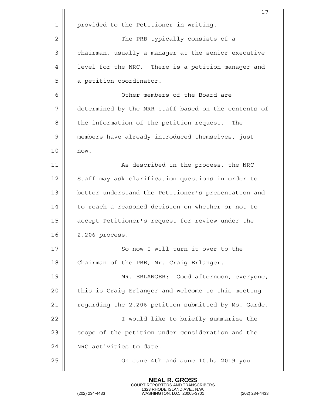|    | 17                                                   |
|----|------------------------------------------------------|
| 1  | provided to the Petitioner in writing.               |
| 2  | The PRB typically consists of a                      |
| 3  | chairman, usually a manager at the senior executive  |
| 4  | level for the NRC. There is a petition manager and   |
| 5  | a petition coordinator.                              |
| 6  | Other members of the Board are                       |
| 7  | determined by the NRR staff based on the contents of |
| 8  | the information of the petition request.<br>The      |
| 9  | members have already introduced themselves, just     |
| 10 | now.                                                 |
| 11 | As described in the process, the NRC                 |
| 12 | Staff may ask clarification questions in order to    |
| 13 | better understand the Petitioner's presentation and  |
| 14 | to reach a reasoned decision on whether or not to    |
| 15 | accept Petitioner's request for review under the     |
| 16 | 2.206 process.                                       |
| 17 | So now I will turn it over to the                    |
| 18 | Chairman of the PRB, Mr. Craig Erlanger.             |
| 19 | MR. ERLANGER: Good afternoon, everyone,              |
| 20 | this is Craig Erlanger and welcome to this meeting   |
| 21 | regarding the 2.206 petition submitted by Ms. Garde. |
| 22 | I would like to briefly summarize the                |
| 23 | scope of the petition under consideration and the    |
| 24 | NRC activities to date.                              |
| 25 | On June 4th and June 10th, 2019 you                  |
|    |                                                      |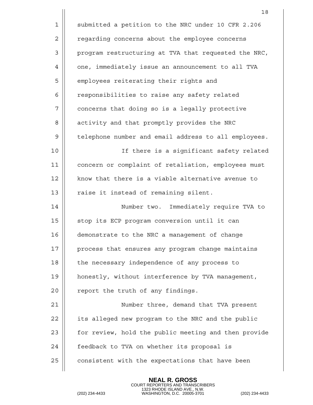|    | 18                                                   |
|----|------------------------------------------------------|
| 1  | submitted a petition to the NRC under 10 CFR 2.206   |
| 2  | regarding concerns about the employee concerns       |
| 3  | program restructuring at TVA that requested the NRC, |
| 4  | one, immediately issue an announcement to all TVA    |
| 5  | employees reiterating their rights and               |
| 6  | responsibilities to raise any safety related         |
| 7  | concerns that doing so is a legally protective       |
| 8  | activity and that promptly provides the NRC          |
| 9  | telephone number and email address to all employees. |
| 10 | If there is a significant safety related             |
| 11 | concern or complaint of retaliation, employees must  |
| 12 | know that there is a viable alternative avenue to    |
| 13 | raise it instead of remaining silent.                |
| 14 | Number two. Immediately require TVA to               |
| 15 | stop its ECP program conversion until it can         |
| 16 | demonstrate to the NRC a management of change        |
| 17 | process that ensures any program change maintains    |
| 18 | the necessary independence of any process to         |
| 19 | honestly, without interference by TVA management,    |
| 20 | report the truth of any findings.                    |
| 21 | Number three, demand that TVA present                |
| 22 | its alleged new program to the NRC and the public    |
| 23 | for review, hold the public meeting and then provide |
| 24 | feedback to TVA on whether its proposal is           |
| 25 | consistent with the expectations that have been      |

COURT REPORTERS AND TRANSCRIBERS 1323 RHODE ISLAND AVE., N.W. (202) 234-4433 WASHINGTON, D.C. 20005-3701 (202) 234-4433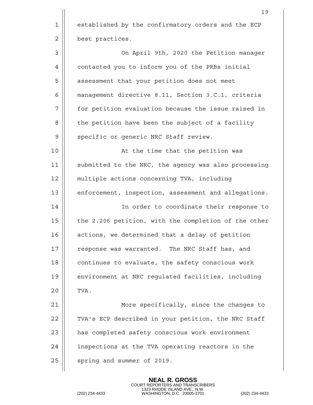19 1 | established by the confirmatory orders and the ECP 2 | best practices. 3 On April 9th, 2020 the Petition manager 4 | contacted you to inform you of the PRBs initial 5 | assessment that your petition does not meet 6 management directive 8.11, Section 3.C.1, criteria 7 for petition evaluation because the issue raised in 8 | the petition have been the subject of a facility 9 || specific or generic NRC Staff review. 10 || At the time that the petition was 11 || submitted to the NRC, the agency was also processing 12 multiple actions concerning TVA, including 13 || enforcement, inspection, assessment and allegations. 14 || In order to coordinate their response to  $15$  | the 2.206 petition, with the completion of the other  $16$  | actions, we determined that a delay of petition 17 || response was warranted. The NRC Staff has, and 18 || continues to evaluate, the safety conscious work 19 | environment at NRC requlated facilities, including  $20$  TVA. 21 || More specifically, since the changes to 22 | TVA's ECP described in your petition, the NRC Staff 23 | has completed safety conscious work environment 24 | inspections at the TVA operating reactors in the  $25$  | spring and summer of 2019.

> **NEAL R. GROSS** COURT REPORTERS AND TRANSCRIBERS

1323 RHODE ISLAND AVE., N.W. (202) 234-4433 WASHINGTON, D.C. 20005-3701 (202) 234-4433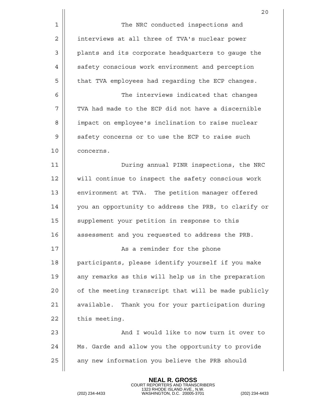|    | 20                                                   |
|----|------------------------------------------------------|
| 1  | The NRC conducted inspections and                    |
| 2  | interviews at all three of TVA's nuclear power       |
| 3  | plants and its corporate headquarters to gauge the   |
| 4  | safety conscious work environment and perception     |
| 5  | that TVA employees had regarding the ECP changes.    |
| 6  | The interviews indicated that changes                |
| 7  | TVA had made to the ECP did not have a discernible   |
| 8  | impact on employee's inclination to raise nuclear    |
| 9  | safety concerns or to use the ECP to raise such      |
| 10 | concerns.                                            |
| 11 | During annual PINR inspections, the NRC              |
| 12 | will continue to inspect the safety conscious work   |
| 13 | environment at TVA. The petition manager offered     |
| 14 | you an opportunity to address the PRB, to clarify or |
| 15 | supplement your petition in response to this         |
| 16 | assessment and you requested to address the PRB.     |
| 17 | As a reminder for the phone                          |
| 18 | participants, please identify yourself if you make   |
| 19 | any remarks as this will help us in the preparation  |
| 20 | of the meeting transcript that will be made publicly |
| 21 | available. Thank you for your participation during   |
| 22 | this meeting.                                        |
| 23 | And I would like to now turn it over to              |
| 24 | Ms. Garde and allow you the opportunity to provide   |
| 25 | any new information you believe the PRB should       |
|    |                                                      |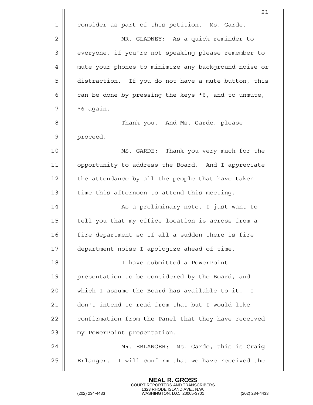|             | 21                                                   |
|-------------|------------------------------------------------------|
| $\mathbf 1$ | consider as part of this petition. Ms. Garde.        |
| $\mathbf 2$ | MR. GLADNEY: As a quick reminder to                  |
| 3           | everyone, if you're not speaking please remember to  |
| 4           | mute your phones to minimize any background noise or |
| 5           | distraction. If you do not have a mute button, this  |
| 6           | can be done by pressing the keys *6, and to unmute,  |
| 7           | *6 again.                                            |
| 8           | Thank you. And Ms. Garde, please                     |
| 9           | proceed.                                             |
| 10          | MS. GARDE: Thank you very much for the               |
| 11          | opportunity to address the Board. And I appreciate   |
| 12          | the attendance by all the people that have taken     |
| 13          | time this afternoon to attend this meeting.          |
| 14          | As a preliminary note, I just want to                |
| 15          | tell you that my office location is across from a    |
| 16          | fire department so if all a sudden there is fire     |
| 17          | department noise I apologize ahead of time.          |
| 18          | I have submitted a PowerPoint                        |
| 19          | presentation to be considered by the Board, and      |
| 20          | which I assume the Board has available to it. I      |
| 21          | don't intend to read from that but I would like      |
| 22          | confirmation from the Panel that they have received  |
| 23          | my PowerPoint presentation.                          |
| 24          | MR. ERLANGER: Ms. Garde, this is Craig               |
| 25          | Erlanger. I will confirm that we have received the   |
|             |                                                      |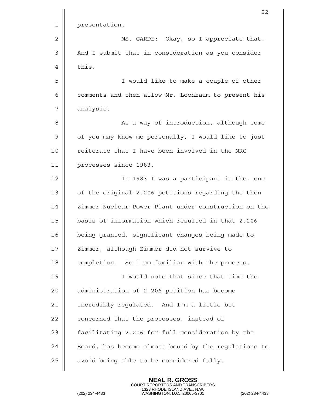|             | 22                                                   |
|-------------|------------------------------------------------------|
| $\mathbf 1$ | presentation.                                        |
| 2           | MS. GARDE: Okay, so I appreciate that.               |
| 3           | And I submit that in consideration as you consider   |
| 4           | this.                                                |
| 5           | I would like to make a couple of other               |
| 6           | comments and then allow Mr. Lochbaum to present his  |
| 7           | analysis.                                            |
| 8           | As a way of introduction, although some              |
| 9           | of you may know me personally, I would like to just  |
| 10          | reiterate that I have been involved in the NRC       |
| 11          | processes since 1983.                                |
| 12          | In 1983 I was a participant in the, one              |
| 13          | of the original 2.206 petitions regarding the then   |
| 14          | Zimmer Nuclear Power Plant under construction on the |
| 15          | basis of information which resulted in that 2.206    |
| 16          | being granted, significant changes being made to     |
| 17          | Zimmer, although Zimmer did not survive to           |
| 18          | completion. So I am familiar with the process.       |
| 19          | I would note that since that time the                |
| 20          | administration of 2.206 petition has become          |
| 21          | incredibly regulated. And I'm a little bit           |
| 22          | concerned that the processes, instead of             |
| 23          | facilitating 2.206 for full consideration by the     |
| 24          | Board, has become almost bound by the regulations to |
| 25          | avoid being able to be considered fully.             |
|             |                                                      |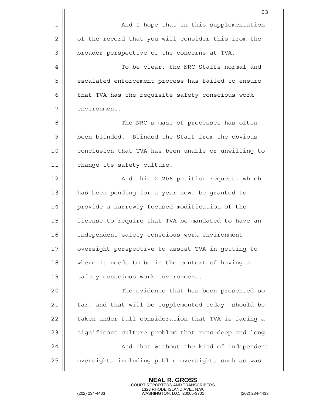|                | 23                                                   |
|----------------|------------------------------------------------------|
| 1              | And I hope that in this supplementation              |
| $\overline{2}$ | of the record that you will consider this from the   |
| 3              | broader perspective of the concerns at TVA.          |
| 4              | To be clear, the NRC Staffs normal and               |
| 5              | escalated enforcement process has failed to ensure   |
| 6              | that TVA has the requisite safety conscious work     |
| 7              | environment.                                         |
| 8              | The NRC's maze of processes has often                |
| 9              | been blinded. Blinded the Staff from the obvious     |
| 10             | conclusion that TVA has been unable or unwilling to  |
| 11             | change its safety culture.                           |
| 12             | And this 2.206 petition request, which               |
| 13             | has been pending for a year now, be granted to       |
| 14             | provide a narrowly focused modification of the       |
| 15             | license to require that TVA be mandated to have an   |
| 16             | independent safety conscious work environment        |
| 17             | oversight perspective to assist TVA in getting to    |
| 18             | where it needs to be in the context of having a      |
| 19             | safety conscious work environment.                   |
| 20             | The evidence that has been presented so              |
| 21             | far, and that will be supplemented today, should be  |
| 22             | taken under full consideration that TVA is facing a  |
| 23             | significant culture problem that runs deep and long. |
| 24             | And that without the kind of independent             |
| 25             | oversight, including public oversight, such as was   |
|                |                                                      |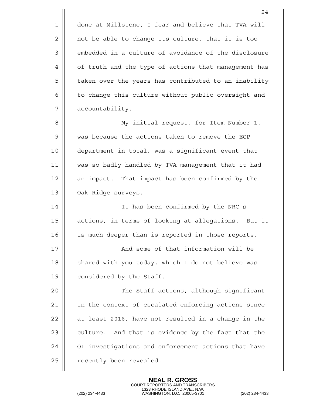1 done at Millstone, I fear and believe that TVA will 2 | not be able to change its culture, that it is too 3 | embedded in a culture of avoidance of the disclosure 4 || of truth and the type of actions that management has 5 | taken over the years has contributed to an inability 6 | to change this culture without public oversight and 7 || accountability. 8 || My initial request, for Item Number 1, 9 Wed Secause the actions taken to remove the ECP 10 department in total, was a significant event that 11 was so badly handled by TVA management that it had 12 || an impact. That impact has been confirmed by the 13 | Oak Ridge surveys. 14 It has been confirmed by the NRC's 15 || actions, in terms of looking at allegations. But it 16 is much deeper than is reported in those reports. 17 || And some of that information will be  $18$  | shared with you today, which I do not believe was 19 **Quart** considered by the Staff. 20 The Staff actions, although significant 21 || in the context of escalated enforcing actions since  $22$  | at least 2016, have not resulted in a change in the  $23$  || culture. And that is evidence by the fact that the 24 || OI investigations and enforcement actions that have  $25$  | recently been revealed.

**NEAL R. GROSS**

COURT REPORTERS AND TRANSCRIBERS 1323 RHODE ISLAND AVE., N.W. (202) 234-4433 WASHINGTON, D.C. 20005-3701 (202) 234-4433

24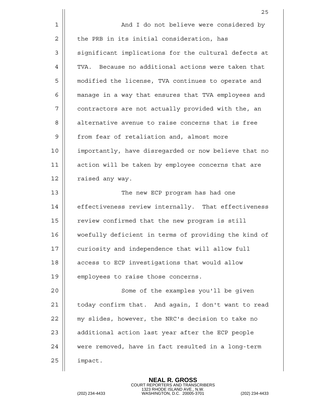|    | 25                                                   |
|----|------------------------------------------------------|
| 1  | And I do not believe were considered by              |
| 2  | the PRB in its initial consideration, has            |
| 3  | significant implications for the cultural defects at |
| 4  | TVA. Because no additional actions were taken that   |
| 5  | modified the license, TVA continues to operate and   |
| 6  | manage in a way that ensures that TVA employees and  |
| 7  | contractors are not actually provided with the, an   |
| 8  | alternative avenue to raise concerns that is free    |
| 9  | from fear of retaliation and, almost more            |
| 10 | importantly, have disregarded or now believe that no |
| 11 | action will be taken by employee concerns that are   |
| 12 | raised any way.                                      |
| 13 | The new ECP program has had one                      |
| 14 | effectiveness review internally. That effectiveness  |
| 15 | review confirmed that the new program is still       |
| 16 | woefully deficient in terms of providing the kind of |
| 17 | curiosity and independence that will allow full      |
| 18 | access to ECP investigations that would allow        |
| 19 | employees to raise those concerns.                   |
| 20 | Some of the examples you'll be given                 |
| 21 | today confirm that. And again, I don't want to read  |
| 22 | my slides, however, the NRC's decision to take no    |
| 23 | additional action last year after the ECP people     |
| 24 | were removed, have in fact resulted in a long-term   |
| 25 | impact.                                              |
|    |                                                      |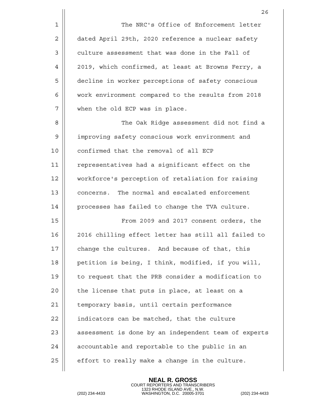1 | The NRC's Office of Enforcement letter 2 dated April 29th, 2020 reference a nuclear safety 3 | culture assessment that was done in the Fall of 4 2019, which confirmed, at least at Browns Ferry, a 5 | decline in worker perceptions of safety conscious 6 | work environment compared to the results from 2018 7 || when the old ECP was in place.

8 The Oak Ridge assessment did not find a 9 | improving safety conscious work environment and 10 || confirmed that the removal of all ECP 11 || representatives had a significant effect on the 12 workforce's perception of retaliation for raising 13 **concerns.** The normal and escalated enforcement  $14$  | processes has failed to change the TVA culture.

15 From 2009 and 2017 consent orders, the 16 2016 chilling effect letter has still all failed to  $17$   $\parallel$  change the cultures. And because of that, this 18 || petition is being, I think, modified, if you will, 19 || to request that the PRB consider a modification to  $20$  || the license that puts in place, at least on a 21 | temporary basis, until certain performance 22 | indicators can be matched, that the culture 23 || assessment is done by an independent team of experts  $24$   $\parallel$  accountable and reportable to the public in an  $25$  | effort to really make a change in the culture.

**NEAL R. GROSS**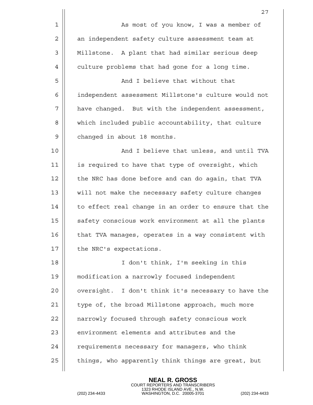|    | 27                                                   |
|----|------------------------------------------------------|
| 1  | As most of you know, I was a member of               |
| 2  | an independent safety culture assessment team at     |
| 3  | Millstone. A plant that had similar serious deep     |
| 4  | culture problems that had gone for a long time.      |
| 5  | And I believe that without that                      |
| 6  | independent assessment Millstone's culture would not |
| 7  | have changed. But with the independent assessment,   |
| 8  | which included public accountability, that culture   |
| 9  | changed in about 18 months.                          |
| 10 | And I believe that unless, and until TVA             |
| 11 | is required to have that type of oversight, which    |
| 12 | the NRC has done before and can do again, that TVA   |
| 13 | will not make the necessary safety culture changes   |
| 14 | to effect real change in an order to ensure that the |
| 15 | safety conscious work environment at all the plants  |
| 16 | that TVA manages, operates in a way consistent with  |
| 17 | the NRC's expectations.                              |
| 18 | I don't think, I'm seeking in this                   |
| 19 | modification a narrowly focused independent          |
| 20 | oversight. I don't think it's necessary to have the  |
| 21 | type of, the broad Millstone approach, much more     |
| 22 | narrowly focused through safety conscious work       |
| 23 | environment elements and attributes and the          |
| 24 | requirements necessary for managers, who think       |
| 25 | things, who apparently think things are great, but   |
|    |                                                      |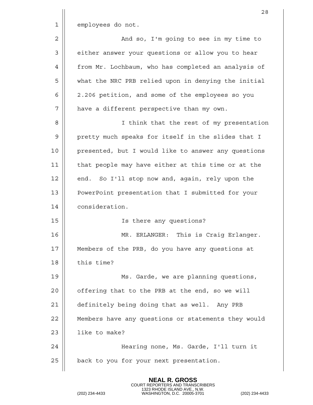|    | 28                                                  |
|----|-----------------------------------------------------|
| 1  | employees do not.                                   |
| 2  | And so, I'm going to see in my time to              |
| 3  | either answer your questions or allow you to hear   |
| 4  | from Mr. Lochbaum, who has completed an analysis of |
| 5  | what the NRC PRB relied upon in denying the initial |
| 6  | 2.206 petition, and some of the employees so you    |
| 7  | have a different perspective than my own.           |
| 8  | I think that the rest of my presentation            |
| 9  | pretty much speaks for itself in the slides that I  |
| 10 | presented, but I would like to answer any questions |
| 11 | that people may have either at this time or at the  |
| 12 | end. So I'll stop now and, again, rely upon the     |
| 13 | PowerPoint presentation that I submitted for your   |
| 14 | consideration.                                      |
| 15 | Is there any questions?                             |
| 16 | This is Craig Erlanger.<br>MR. ERLANGER:            |
| 17 | Members of the PRB, do you have any questions at    |
| 18 | this time?                                          |
| 19 | Ms. Garde, we are planning questions,               |
| 20 | offering that to the PRB at the end, so we will     |
| 21 | definitely being doing that as well. Any PRB        |
| 22 | Members have any questions or statements they would |
| 23 | like to make?                                       |
| 24 | Hearing none, Ms. Garde, I'll turn it               |
| 25 | back to you for your next presentation.             |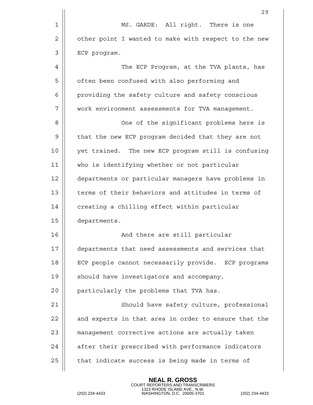|    | 29                                                   |
|----|------------------------------------------------------|
| 1  | MS. GARDE: All right. There is one                   |
| 2  | other point I wanted to make with respect to the new |
| 3  | ECP program.                                         |
| 4  | The ECP Program, at the TVA plants, has              |
| 5  | often been confused with also performing and         |
| 6  | providing the safety culture and safety conscious    |
| 7  | work environment assessments for TVA management.     |
| 8  | One of the significant problems here is              |
| 9  | that the new ECP program decided that they are not   |
| 10 | yet trained. The new ECP program still is confusing  |
| 11 | who is identifying whether or not particular         |
| 12 | departments or particular managers have problems in  |
| 13 | terms of their behaviors and attitudes in terms of   |
| 14 | creating a chilling effect within particular         |
| 15 | departments.                                         |
| 16 | And there are still particular                       |
| 17 | departments that need assessments and services that  |
| 18 | ECP people cannot necessarily provide. ECP programs  |
| 19 | should have investigators and accompany,             |
| 20 | particularly the problems that TVA has.              |
| 21 | Should have safety culture, professional             |
| 22 | and experts in that area in order to ensure that the |
| 23 | management corrective actions are actually taken     |
| 24 | after their prescribed with performance indicators   |
| 25 | that indicate success is being made in terms of      |
|    |                                                      |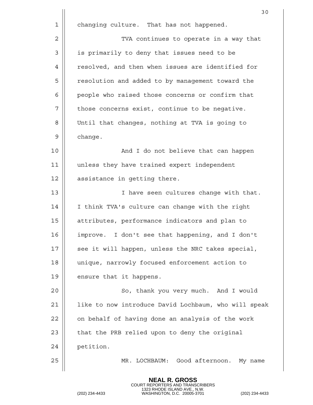|    | 30                                                   |
|----|------------------------------------------------------|
| 1  | changing culture. That has not happened.             |
| 2  | TVA continues to operate in a way that               |
| 3  | is primarily to deny that issues need to be          |
| 4  | resolved, and then when issues are identified for    |
| 5  | resolution and added to by management toward the     |
| 6  | people who raised those concerns or confirm that     |
| 7  | those concerns exist, continue to be negative.       |
| 8  | Until that changes, nothing at TVA is going to       |
| 9  | change.                                              |
| 10 | And I do not believe that can happen                 |
| 11 | unless they have trained expert independent          |
| 12 | assistance in getting there.                         |
| 13 | I have seen cultures change with that.               |
| 14 | I think TVA's culture can change with the right      |
| 15 | attributes, performance indicators and plan to       |
| 16 | improve. I don't see that happening, and I don't     |
| 17 | see it will happen, unless the NRC takes special,    |
| 18 | unique, narrowly focused enforcement action to       |
| 19 | ensure that it happens.                              |
| 20 | So, thank you very much. And I would                 |
| 21 | like to now introduce David Lochbaum, who will speak |
| 22 | on behalf of having done an analysis of the work     |
| 23 | that the PRB relied upon to deny the original        |
| 24 | petition.                                            |
| 25 | MR. LOCHBAUM: Good afternoon. My name                |
|    |                                                      |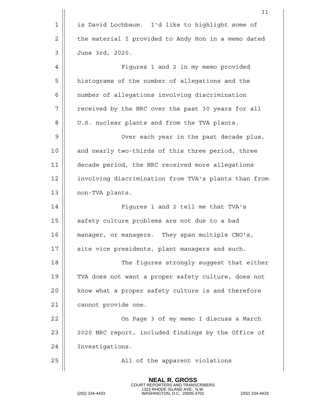|    | 31                                                   |
|----|------------------------------------------------------|
| 1  | is David Lochbaum. I'd like to highlight some of     |
| 2  | the material I provided to Andy Hon in a memo dated  |
| 3  | June 3rd, 2020.                                      |
| 4  | Figures 1 and 2 in my memo provided                  |
| 5  | histograms of the number of allegations and the      |
| 6  | number of allegations involving discrimination       |
| 7  | received by the NRC over the past 30 years for all   |
| 8  | U.S. nuclear plants and from the TVA plants.         |
| 9  | Over each year in the past decade plus,              |
| 10 | and nearly two-thirds of this three period, three    |
| 11 | decade period, the NRC received more allegations     |
| 12 | involving discrimination from TVA's plants than from |
| 13 | non-TVA plants.                                      |
| 14 | Figures 1 and 2 tell me that TVA's                   |
| 15 | safety culture problems are not due to a bad         |
| 16 | They span multiple CNO's,<br>manager, or managers.   |
| 17 | site vice presidents, plant managers and such.       |
| 18 | The figures strongly suggest that either             |
| 19 | TVA does not want a proper safety culture, does not  |
| 20 | know what a proper safety culture is and therefore   |
| 21 | cannot provide one.                                  |
| 22 | On Page 3 of my memo I discuss a March               |
| 23 | 2020 NRC report, included findings by the Office of  |
| 24 | Investigations.                                      |
| 25 | All of the apparent violations                       |
|    |                                                      |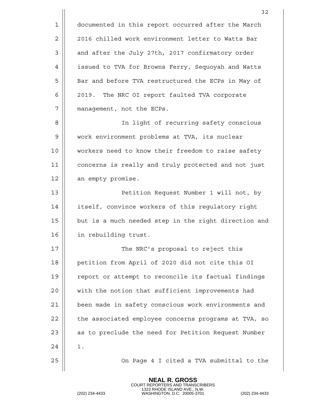1 | documented in this report occurred after the March 2 || 2016 chilled work environment letter to Watts Bar 3 || and after the July 27th, 2017 confirmatory order 4 | issued to TVA for Browns Ferry, Sequoyah and Watts 5 | Bar and before TVA restructured the ECPs in May of 6 2019. The NRC OI report faulted TVA corporate 7 management, not the ECPs. 8 || In light of recurring safety conscious 9 | work environment problems at TVA, its nuclear 10 workers need to know their freedom to raise safety 11 concerns is really and truly protected and not just 12 | an empty promise. 13 Petition Request Number 1 will not, by 14 | itself, convince workers of this regulatory right  $15$   $\parallel$  but is a much needed step in the right direction and 16 in rebuilding trust. 17 The NRC's proposal to reject this 18 || petition from April of 2020 did not cite this OI 19 || report or attempt to reconcile its factual findings 20 || with the notion that sufficient improvements had 21 | been made in safety conscious work environments and  $22$  | the associated employee concerns programs at TVA, so 23 || as to preclude the need for Petition Request Number 24 | 1. 25 On Page 4 I cited a TVA submittal to the

> **NEAL R. GROSS** COURT REPORTERS AND TRANSCRIBERS

1323 RHODE ISLAND AVE., N.W. (202) 234-4433 WASHINGTON, D.C. 20005-3701 (202) 234-4433

32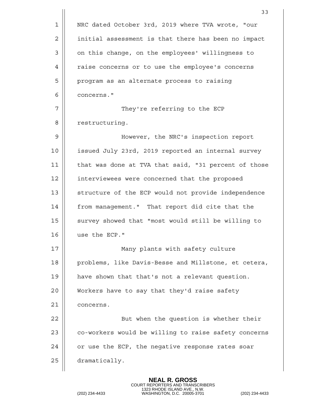|    | 33                                                   |
|----|------------------------------------------------------|
| 1  | NRC dated October 3rd, 2019 where TVA wrote, "our    |
| 2  | initial assessment is that there has been no impact  |
| 3  | on this change, on the employees' willingness to     |
| 4  | raise concerns or to use the employee's concerns     |
| 5  | program as an alternate process to raising           |
| 6  | concerns."                                           |
| 7  | They're referring to the ECP                         |
| 8  | restructuring.                                       |
| 9  | However, the NRC's inspection report                 |
| 10 | issued July 23rd, 2019 reported an internal survey   |
| 11 | that was done at TVA that said, "31 percent of those |
| 12 | interviewees were concerned that the proposed        |
| 13 | structure of the ECP would not provide independence  |
| 14 | from management." That report did cite that the      |
| 15 | survey showed that "most would still be willing to   |
| 16 | use the ECP."                                        |
| 17 | Many plants with safety culture                      |
| 18 | problems, like Davis-Besse and Millstone, et cetera, |
| 19 | have shown that that's not a relevant question.      |
| 20 | Workers have to say that they'd raise safety         |
| 21 | concerns.                                            |
| 22 | But when the question is whether their               |
| 23 | co-workers would be willing to raise safety concerns |
| 24 | or use the ECP, the negative response rates soar     |
| 25 | dramatically.                                        |
|    |                                                      |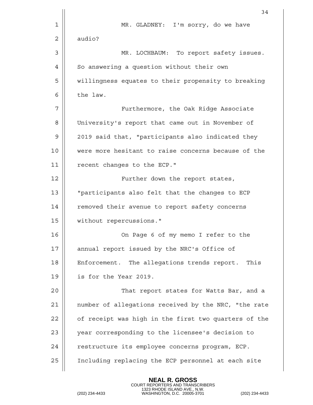|    | 34                                                   |
|----|------------------------------------------------------|
| 1  | MR. GLADNEY: I'm sorry, do we have                   |
| 2  | audio?                                               |
| 3  | MR. LOCHBAUM: To report safety issues.               |
| 4  | So answering a question without their own            |
| 5  | willingness equates to their propensity to breaking  |
| 6  | the law.                                             |
| 7  | Furthermore, the Oak Ridge Associate                 |
| 8  | University's report that came out in November of     |
| 9  | 2019 said that, "participants also indicated they    |
| 10 | were more hesitant to raise concerns because of the  |
| 11 | recent changes to the ECP."                          |
| 12 | Further down the report states,                      |
| 13 | "participants also felt that the changes to ECP      |
| 14 | removed their avenue to report safety concerns       |
| 15 | without repercussions."                              |
| 16 | On Page 6 of my memo I refer to the                  |
| 17 | annual report issued by the NRC's Office of          |
| 18 | Enforcement. The allegations trends report. This     |
| 19 | is for the Year 2019.                                |
| 20 | That report states for Watts Bar, and a              |
| 21 | number of allegations received by the NRC, "the rate |
| 22 | of receipt was high in the first two quarters of the |
| 23 | year corresponding to the licensee's decision to     |
| 24 | restructure its employee concerns program, ECP.      |
| 25 | Including replacing the ECP personnel at each site   |
|    |                                                      |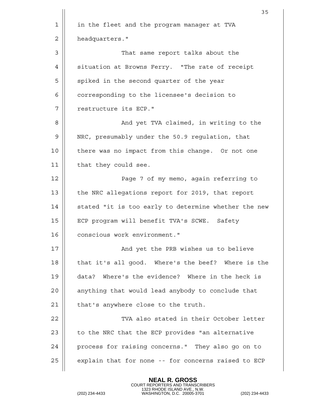|    | 35                                                   |
|----|------------------------------------------------------|
| 1  | in the fleet and the program manager at TVA          |
| 2  | headquarters."                                       |
| 3  | That same report talks about the                     |
| 4  | situation at Browns Ferry. "The rate of receipt      |
| 5  | spiked in the second quarter of the year             |
| 6  | corresponding to the licensee's decision to          |
| 7  | restructure its ECP."                                |
| 8  | And yet TVA claimed, in writing to the               |
| 9  | NRC, presumably under the 50.9 regulation, that      |
| 10 | there was no impact from this change. Or not one     |
| 11 | that they could see.                                 |
| 12 | Page 7 of my memo, again referring to                |
| 13 | the NRC allegations report for 2019, that report     |
| 14 | stated "it is too early to determine whether the new |
| 15 | ECP program will benefit TVA's SCWE.<br>Safety       |
| 16 | conscious work environment."                         |
| 17 | And yet the PRB wishes us to believe                 |
| 18 | that it's all good. Where's the beef? Where is the   |
| 19 | data? Where's the evidence? Where in the heck is     |
| 20 | anything that would lead anybody to conclude that    |
| 21 | that's anywhere close to the truth.                  |
| 22 | TVA also stated in their October letter              |
| 23 | to the NRC that the ECP provides "an alternative     |
| 24 | process for raising concerns." They also go on to    |
| 25 | explain that for none -- for concerns raised to ECP  |
|    |                                                      |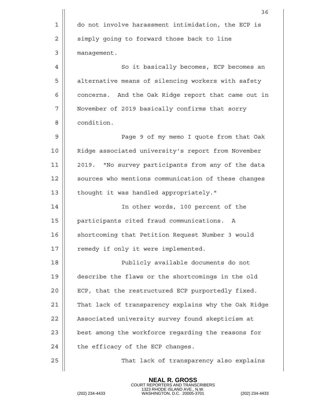|    | 36                                                   |
|----|------------------------------------------------------|
| 1  | do not involve harassment intimidation, the ECP is   |
| 2  | simply going to forward those back to line           |
| 3  | management.                                          |
| 4  | So it basically becomes, ECP becomes an              |
| 5  | alternative means of silencing workers with safety   |
| 6  | concerns. And the Oak Ridge report that came out in  |
| 7  | November of 2019 basically confirms that sorry       |
| 8  | condition.                                           |
| 9  | Page 9 of my memo I quote from that Oak              |
| 10 | Ridge associated university's report from November   |
| 11 | 2019. "No survey participants from any of the data   |
| 12 | sources who mentions communication of these changes  |
| 13 | thought it was handled appropriately."               |
| 14 | In other words, 100 percent of the                   |
| 15 | participants cited fraud communications.<br>A        |
| 16 | shortcoming that Petition Request Number 3 would     |
| 17 | remedy if only it were implemented.                  |
| 18 | Publicly available documents do not                  |
| 19 | describe the flaws or the shortcomings in the old    |
| 20 | ECP, that the restructured ECP purportedly fixed.    |
| 21 | That lack of transparency explains why the Oak Ridge |
| 22 | Associated university survey found skepticism at     |
| 23 | best among the workforce regarding the reasons for   |
| 24 | the efficacy of the ECP changes.                     |
| 25 | That lack of transparency also explains              |
|    |                                                      |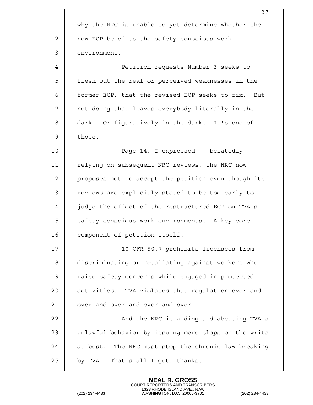|             | 37                                                   |
|-------------|------------------------------------------------------|
| $\mathbf 1$ | why the NRC is unable to yet determine whether the   |
| $\mathbf 2$ | new ECP benefits the safety conscious work           |
| 3           | environment.                                         |
| 4           | Petition requests Number 3 seeks to                  |
| 5           | flesh out the real or perceived weaknesses in the    |
| 6           | former ECP, that the revised ECP seeks to fix. But   |
| 7           | not doing that leaves everybody literally in the     |
| 8           | dark. Or figuratively in the dark. It's one of       |
| $\mathsf 9$ | those.                                               |
| 10          | Page 14, I expressed -- belatedly                    |
| 11          | relying on subsequent NRC reviews, the NRC now       |
| 12          | proposes not to accept the petition even though its  |
| 13          | reviews are explicitly stated to be too early to     |
| 14          | judge the effect of the restructured ECP on TVA's    |
| 15          | safety conscious work environments. A key core       |
| 16          | component of petition itself.                        |
| 17          | 10 CFR 50.7 prohibits licensees from                 |
| 18          | discriminating or retaliating against workers who    |
| 19          | raise safety concerns while engaged in protected     |
| 20          | activities. TVA violates that regulation over and    |
| 21          | over and over and over and over.                     |
| 22          | And the NRC is aiding and abetting TVA's             |
| 23          | unlawful behavior by issuing mere slaps on the writs |
| 24          | at best. The NRC must stop the chronic law breaking  |
| 25          | by TVA. That's all I got, thanks.                    |
|             |                                                      |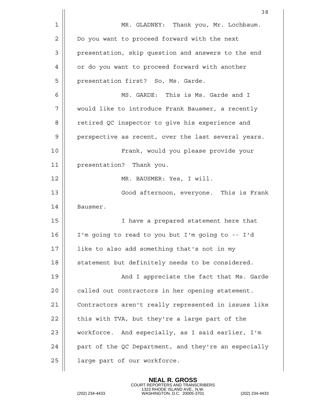|    | 38                                                   |
|----|------------------------------------------------------|
| 1  | MR. GLADNEY: Thank you, Mr. Lochbaum.                |
| 2  | Do you want to proceed forward with the next         |
| 3  | presentation, skip question and answers to the end   |
| 4  | or do you want to proceed forward with another       |
| 5  | presentation first? So, Ms. Garde.                   |
| 6  | MS. GARDE: This is Ms. Garde and I                   |
| 7  | would like to introduce Frank Bausmer, a recently    |
| 8  | retired QC inspector to give his experience and      |
| 9  | perspective as recent, over the last several years.  |
| 10 | Frank, would you please provide your                 |
| 11 | presentation? Thank you.                             |
| 12 | MR. BAUSMER: Yes, I will.                            |
| 13 | Good afternoon, everyone. This is Frank              |
| 14 | Bausmer.                                             |
| 15 | I have a prepared statement here that                |
| 16 | I'm going to read to you but I'm going to -- I'd     |
| 17 | like to also add something that's not in my          |
| 18 | statement but definitely needs to be considered.     |
| 19 | And I appreciate the fact that Ms. Garde             |
| 20 | called out contractors in her opening statement.     |
| 21 | Contractors aren't really represented in issues like |
| 22 | this with TVA, but they're a large part of the       |
| 23 | workforce. And especially, as I said earlier, I'm    |
| 24 | part of the QC Department, and they're an especially |
| 25 | large part of our workforce.                         |
|    |                                                      |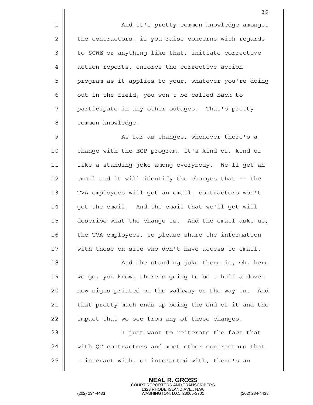1 | And it's pretty common knowledge amongst  $2 \parallel$  the contractors, if you raise concerns with regards 3 | to SCWE or anything like that, initiate corrective 4 | action reports, enforce the corrective action 5 || program as it applies to your, whatever you're doing  $6$  | out in the field, you won't be called back to 7 || participate in any other outages. That's pretty 8 || common knowledge. 9 || As far as changes, whenever there's a 10 || change with the ECP program, it's kind of, kind of 11 like a standing joke among everybody. We'll get an  $12$  | email and it will identify the changes that  $-$ - the 13 || TVA employees will get an email, contractors won't  $14$  | qet the email. And the email that we'll get will 15 describe what the change is. And the email asks us, 16 | the TVA employees, to please share the information 17  $\parallel$  with those on site who don't have access to email. 18 || And the standing joke there is, Oh, here 19 we go, you know, there's going to be a half a dozen 20 || new signs printed on the walkway on the way in. And  $21$  | that pretty much ends up being the end of it and the  $22$  | impact that we see from any of those changes. 23 || I just want to reiterate the fact that 24 | with QC contractors and most other contractors that 25 || I interact with, or interacted with, there's an

> **NEAL R. GROSS** COURT REPORTERS AND TRANSCRIBERS

1323 RHODE ISLAND AVE., N.W. (202) 234-4433 WASHINGTON, D.C. 20005-3701 (202) 234-4433

39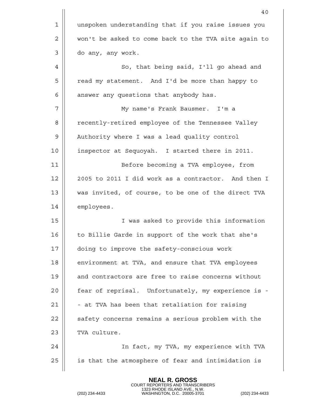|    | 40                                                   |
|----|------------------------------------------------------|
| 1  | unspoken understanding that if you raise issues you  |
| 2  | won't be asked to come back to the TVA site again to |
| 3  | do any, any work.                                    |
| 4  | So, that being said, I'll go ahead and               |
| 5  | read my statement. And I'd be more than happy to     |
| 6  | answer any questions that anybody has.               |
| 7  | My name's Frank Bausmer. I'm a                       |
| 8  | recently-retired employee of the Tennessee Valley    |
| 9  | Authority where I was a lead quality control         |
| 10 | inspector at Sequoyah. I started there in 2011.      |
| 11 | Before becoming a TVA employee, from                 |
| 12 | 2005 to 2011 I did work as a contractor. And then I  |
| 13 | was invited, of course, to be one of the direct TVA  |
| 14 | employees.                                           |
| 15 | I was asked to provide this information              |
| 16 | to Billie Garde in support of the work that she's    |
| 17 | doing to improve the safety-conscious work           |
| 18 | environment at TVA, and ensure that TVA employees    |
| 19 | and contractors are free to raise concerns without   |
| 20 | fear of reprisal. Unfortunately, my experience is -  |
| 21 | - at TVA has been that retaliation for raising       |
| 22 | safety concerns remains a serious problem with the   |
| 23 | TVA culture.                                         |
| 24 | In fact, my TVA, my experience with TVA              |
| 25 | is that the atmosphere of fear and intimidation is   |
|    |                                                      |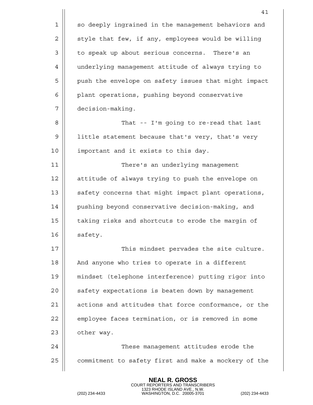|    | 41                                                   |
|----|------------------------------------------------------|
| 1  | so deeply ingrained in the management behaviors and  |
| 2  | style that few, if any, employees would be willing   |
| 3  | to speak up about serious concerns. There's an       |
| 4  | underlying management attitude of always trying to   |
| 5  | push the envelope on safety issues that might impact |
| 6  | plant operations, pushing beyond conservative        |
| 7  | decision-making.                                     |
| 8  | That -- I'm going to re-read that last               |
| 9  | little statement because that's very, that's very    |
| 10 | important and it exists to this day.                 |
| 11 | There's an underlying management                     |
| 12 | attitude of always trying to push the envelope on    |
| 13 | safety concerns that might impact plant operations,  |
| 14 | pushing beyond conservative decision-making, and     |
| 15 | taking risks and shortcuts to erode the margin of    |
| 16 | safety.                                              |
| 17 | This mindset pervades the site culture.              |
| 18 | And anyone who tries to operate in a different       |
| 19 | mindset (telephone interference) putting rigor into  |
| 20 | safety expectations is beaten down by management     |
| 21 | actions and attitudes that force conformance, or the |
| 22 | employee faces termination, or is removed in some    |
| 23 | other way.                                           |
| 24 | These management attitudes erode the                 |
| 25 | commitment to safety first and make a mockery of the |
|    |                                                      |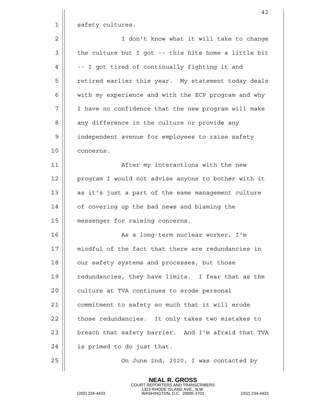|                | 42                                                   |
|----------------|------------------------------------------------------|
| 1              | safety cultures.                                     |
| $\overline{2}$ | I don't know what it will take to change             |
| 3              | the culture but I got -- this hits home a little bit |
| 4              | -- I got tired of continually fighting it and        |
| 5              | retired earlier this year. My statement today deals  |
| 6              | with my experience and with the ECP program and why  |
| 7              | I have no confidence that the new program will make  |
| 8              | any difference in the culture or provide any         |
| 9              | independent avenue for employees to raise safety     |
| 10             | concerns.                                            |
| 11             | After my interactions with the new                   |
| 12             | program I would not advise anyone to bother with it  |
| 13             | as it's just a part of the same management culture   |
| 14             | of covering up the bad news and blaming the          |
| 15             | messenger for raising concerns.                      |
| 16             | As a long-term nuclear worker, I'm                   |
| 17             | mindful of the fact that there are redundancies in   |
| 18             | our safety systems and processes, but those          |
| 19             | redundancies, they have limits. I fear that as the   |
| 20             | culture at TVA continues to erode personal           |
| 21             | commitment to safety so much that it will erode      |
| 22             | those redundancies. It only takes two mistakes to    |
| 23             | breach that safety barrier. And I'm afraid that TVA  |
| 24             | is primed to do just that.                           |
| 25             | On June 2nd, 2020, I was contacted by                |
|                |                                                      |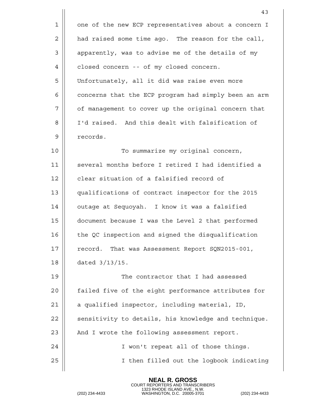|    | 43                                                   |
|----|------------------------------------------------------|
| 1  | one of the new ECP representatives about a concern I |
| 2  | had raised some time ago. The reason for the call,   |
| 3  | apparently, was to advise me of the details of my    |
| 4  | closed concern -- of my closed concern.              |
| 5  | Unfortunately, all it did was raise even more        |
| 6  | concerns that the ECP program had simply been an arm |
| 7  | of management to cover up the original concern that  |
| 8  | I'd raised. And this dealt with falsification of     |
| 9  | records.                                             |
| 10 | To summarize my original concern,                    |
| 11 | several months before I retired I had identified a   |
| 12 | clear situation of a falsified record of             |
| 13 | qualifications of contract inspector for the 2015    |
| 14 | outage at Sequoyah. I know it was a falsified        |
| 15 | document because I was the Level 2 that performed    |
| 16 | the QC inspection and signed the disqualification    |
| 17 | record. That was Assessment Report SQN2015-001,      |
| 18 | dated $3/13/15$ .                                    |
| 19 | The contractor that I had assessed                   |
| 20 | failed five of the eight performance attributes for  |
| 21 | a qualified inspector, including material, ID,       |
| 22 | sensitivity to details, his knowledge and technique. |
| 23 | And I wrote the following assessment report.         |
| 24 | I won't repeat all of those things.                  |
| 25 | I then filled out the logbook indicating             |
|    |                                                      |

COURT REPORTERS AND TRANSCRIBERS 1323 RHODE ISLAND AVE., N.W. (202) 234-4433 WASHINGTON, D.C. 20005-3701 (202) 234-4433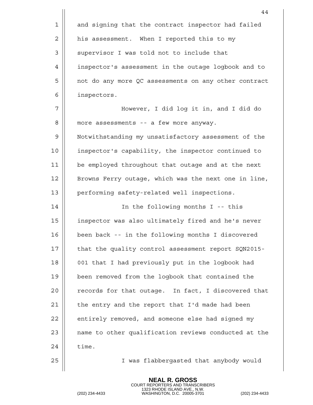|    | 44                                                   |
|----|------------------------------------------------------|
| 1  | and signing that the contract inspector had failed   |
| 2  | his assessment. When I reported this to my           |
| 3  | supervisor I was told not to include that            |
| 4  | inspector's assessment in the outage logbook and to  |
| 5  | not do any more QC assessments on any other contract |
| 6  | inspectors.                                          |
| 7  | However, I did log it in, and I did do               |
| 8  | more assessments -- a few more anyway.               |
| 9  | Notwithstanding my unsatisfactory assessment of the  |
| 10 | inspector's capability, the inspector continued to   |
| 11 | be employed throughout that outage and at the next   |
| 12 | Browns Ferry outage, which was the next one in line, |
| 13 | performing safety-related well inspections.          |
| 14 | In the following months I -- this                    |
| 15 | inspector was also ultimately fired and he's never   |
| 16 | been back -- in the following months I discovered    |
| 17 | that the quality control assessment report SQN2015-  |
| 18 | 001 that I had previously put in the logbook had     |
| 19 | been removed from the logbook that contained the     |
| 20 | records for that outage. In fact, I discovered that  |
| 21 | the entry and the report that I'd made had been      |
| 22 | entirely removed, and someone else had signed my     |
| 23 | name to other qualification reviews conducted at the |
| 24 | time.                                                |
| 25 | I was flabbergasted that anybody would               |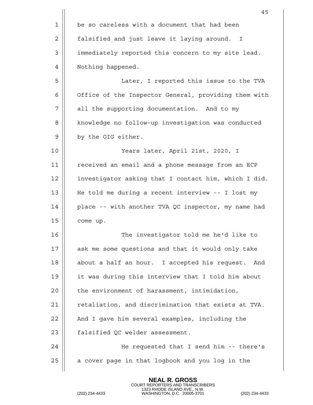|             | 45                                                   |
|-------------|------------------------------------------------------|
| $\mathbf 1$ | be so careless with a document that had been         |
| 2           | falsified and just leave it laying around. I         |
| 3           | immediately reported this concern to my site lead.   |
| 4           | Nothing happened.                                    |
| 5           | Later, I reported this issue to the TVA              |
| 6           | Office of the Inspector General, providing them with |
| 7           | all the supporting documentation. And to my          |
| 8           | knowledge no follow-up investigation was conducted   |
| 9           | by the OIG either.                                   |
| 10          | Years later, April 21st, 2020, I                     |
| 11          | received an email and a phone message from an ECP    |
| 12          | investigator asking that I contact him, which I did. |
| 13          | He told me during a recent interview -- I lost my    |
| 14          | place -- with another TVA QC inspector, my name had  |
| 15          | come up.                                             |
| 16          | The investigator told me he'd like to                |
| 17          | ask me some questions and that it would only take    |
| 18          | about a half an hour. I accepted his request.<br>And |
| 19          | it was during this interview that I told him about   |
| 20          | the environment of harassment, intimidation,         |
| 21          | retaliation, and discrimination that exists at TVA.  |
| 22          | And I gave him several examples, including the       |
| 23          | falsified QC welder assessment.                      |
| 24          | He requested that I send him -- there's              |
| 25          | a cover page in that logbook and you log in the      |
|             |                                                      |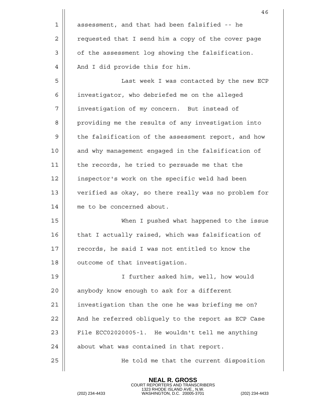|    | 46                                                   |
|----|------------------------------------------------------|
| 1  | assessment, and that had been falsified -- he        |
| 2  | requested that I send him a copy of the cover page   |
| 3  | of the assessment log showing the falsification.     |
| 4  | And I did provide this for him.                      |
| 5  | Last week I was contacted by the new ECP             |
| 6  | investigator, who debriefed me on the alleged        |
| 7  | investigation of my concern. But instead of          |
| 8  | providing me the results of any investigation into   |
| 9  | the falsification of the assessment report, and how  |
| 10 | and why management engaged in the falsification of   |
| 11 | the records, he tried to persuade me that the        |
| 12 | inspector's work on the specific weld had been       |
| 13 | verified as okay, so there really was no problem for |
| 14 | me to be concerned about.                            |
| 15 | When I pushed what happened to the issue             |
| 16 | that I actually raised, which was falsification of   |
| 17 | records, he said I was not entitled to know the      |
| 18 | outcome of that investigation.                       |
| 19 | I further asked him, well, how would                 |
| 20 | anybody know enough to ask for a different           |
| 21 | investigation than the one he was briefing me on?    |
| 22 | And he referred obliquely to the report as ECP Case  |
| 23 | File ECC02020005-1. He wouldn't tell me anything     |
| 24 | about what was contained in that report.             |
| 25 | He told me that the current disposition              |
|    |                                                      |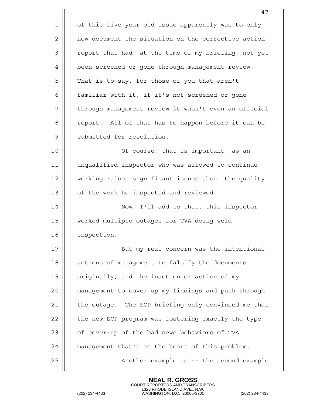|    | 47                                                   |
|----|------------------------------------------------------|
| 1  | of this five-year-old issue apparently was to only   |
| 2  | now document the situation on the corrective action  |
| 3  | report that had, at the time of my briefing, not yet |
| 4  | been screened or gone through management review.     |
| 5  | That is to say, for those of you that aren't         |
| 6  | familiar with it, if it's not screened or gone       |
| 7  | through management review it wasn't even an official |
| 8  | report. All of that has to happen before it can be   |
| 9  | submitted for resolution.                            |
| 10 | Of course, that is important, as an                  |
| 11 | unqualified inspector who was allowed to continue    |
| 12 | working raises significant issues about the quality  |
| 13 | of the work he inspected and reviewed.               |
| 14 | Now, I'll add to that, this inspector                |
| 15 | worked multiple outages for TVA doing weld           |
| 16 | inspection.                                          |
| 17 | But my real concern was the intentional              |
| 18 | actions of management to falsify the documents       |
| 19 | originally, and the inaction or action of my         |
| 20 | management to cover up my findings and push through  |
| 21 | the outage. The ECP briefing only convinced me that  |
| 22 | the new ECP program was fostering exactly the type   |
| 23 | of cover-up of the bad news behaviors of TVA         |
| 24 | management that's at the heart of this problem.      |
| 25 | Another example is -- the second example             |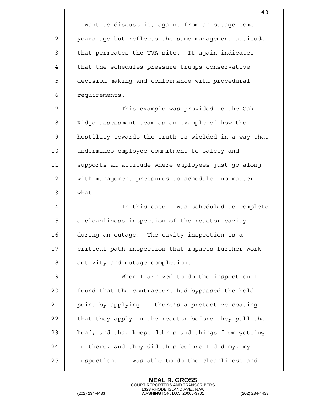|    | 48                                                   |
|----|------------------------------------------------------|
| 1  | I want to discuss is, again, from an outage some     |
| 2  | years ago but reflects the same management attitude  |
| 3  | that permeates the TVA site. It again indicates      |
| 4  | that the schedules pressure trumps conservative      |
| 5  | decision-making and conformance with procedural      |
| 6  | requirements.                                        |
| 7  | This example was provided to the Oak                 |
| 8  | Ridge assessment team as an example of how the       |
| 9  | hostility towards the truth is wielded in a way that |
| 10 | undermines employee commitment to safety and         |
| 11 | supports an attitude where employees just go along   |
| 12 | with management pressures to schedule, no matter     |
| 13 | what.                                                |
| 14 | In this case I was scheduled to complete             |
| 15 | a cleanliness inspection of the reactor cavity       |
| 16 | during an outage. The cavity inspection is a         |
| 17 | critical path inspection that impacts further work   |
| 18 | activity and outage completion.                      |
| 19 | When I arrived to do the inspection I                |
| 20 | found that the contractors had bypassed the hold     |
| 21 | point by applying -- there's a protective coating    |
| 22 | that they apply in the reactor before they pull the  |
| 23 | head, and that keeps debris and things from getting  |
| 24 | in there, and they did this before I did my, my      |
| 25 | inspection. I was able to do the cleanliness and I   |
|    |                                                      |

COURT REPORTERS AND TRANSCRIBERS 1323 RHODE ISLAND AVE., N.W. (202) 234-4433 WASHINGTON, D.C. 20005-3701 (202) 234-4433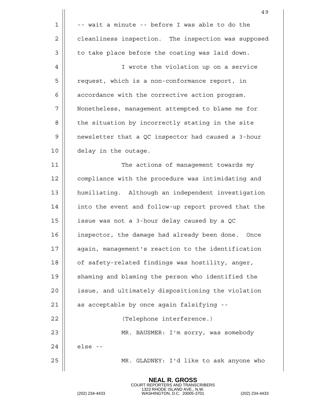|    | 49                                                  |
|----|-----------------------------------------------------|
| 1  | -- wait a minute -- before I was able to do the     |
| 2  | cleanliness inspection. The inspection was supposed |
| 3  | to take place before the coating was laid down.     |
| 4  | I wrote the violation up on a service               |
| 5  | request, which is a non-conformance report, in      |
| 6  | accordance with the corrective action program.      |
| 7  | Nonetheless, management attempted to blame me for   |
| 8  | the situation by incorrectly stating in the site    |
| 9  | newsletter that a QC inspector had caused a 3-hour  |
| 10 | delay in the outage.                                |
| 11 | The actions of management towards my                |
| 12 | compliance with the procedure was intimidating and  |
| 13 | humiliating. Although an independent investigation  |
| 14 | into the event and follow-up report proved that the |
| 15 | issue was not a 3-hour delay caused by a QC         |
| 16 | inspector, the damage had already been done. Once   |
| 17 | again, management's reaction to the identification  |
| 18 | of safety-related findings was hostility, anger,    |
| 19 | shaming and blaming the person who identified the   |
| 20 | issue, and ultimately dispositioning the violation  |
| 21 | as acceptable by once again falsifying --           |
| 22 | (Telephone interference.)                           |
| 23 | MR. BAUSMER: I'm sorry, was somebody                |
| 24 | else --                                             |
| 25 | MR. GLADNEY: I'd like to ask anyone who             |
|    |                                                     |

COURT REPORTERS AND TRANSCRIBERS 1323 RHODE ISLAND AVE., N.W. (202) 234-4433 WASHINGTON, D.C. 20005-3701 (202) 234-4433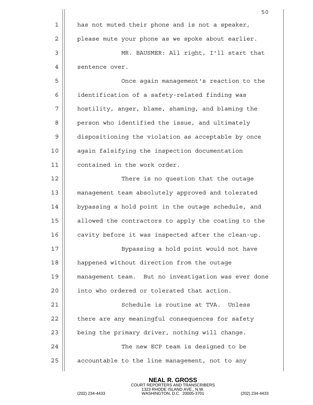|             | 50                                                  |
|-------------|-----------------------------------------------------|
| $\mathbf 1$ | has not muted their phone and is not a speaker,     |
| 2           | please mute your phone as we spoke about earlier.   |
| 3           | MR. BAUSMER: All right, I'll start that             |
| 4           | sentence over.                                      |
| 5           | Once again management's reaction to the             |
| 6           | identification of a safety-related finding was      |
| 7           | hostility, anger, blame, shaming, and blaming the   |
| 8           | person who identified the issue, and ultimately     |
| 9           | dispositioning the violation as acceptable by once  |
| 10          | again falsifying the inspection documentation       |
| 11          | contained in the work order.                        |
| 12          | There is no question that the outage                |
| 13          | management team absolutely approved and tolerated   |
| 14          | bypassing a hold point in the outage schedule, and  |
| 15          | allowed the contractors to apply the coating to the |
| 16          | cavity before it was inspected after the clean-up.  |
| 17          | Bypassing a hold point would not have               |
| 18          | happened without direction from the outage          |
| 19          | management team. But no investigation was ever done |
| 20          | into who ordered or tolerated that action.          |
| 21          | Schedule is routine at TVA. Unless                  |
| 22          | there are any meaningful consequences for safety    |
| 23          | being the primary driver, nothing will change.      |
| 24          | The new ECP team is designed to be                  |
| 25          | accountable to the line management, not to any      |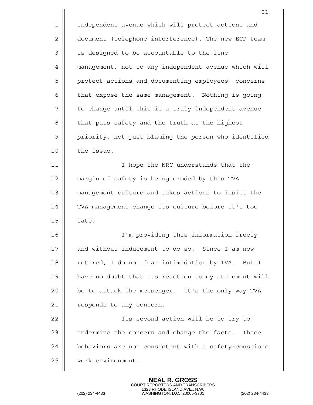|    | 51                                                   |
|----|------------------------------------------------------|
| 1  | independent avenue which will protect actions and    |
| 2  | document (telephone interference). The new ECP team  |
| 3  | is designed to be accountable to the line            |
| 4  | management, not to any independent avenue which will |
| 5  | protect actions and documenting employees' concerns  |
| 6  | that expose the same management. Nothing is going    |
| 7  | to change until this is a truly independent avenue   |
| 8  | that puts safety and the truth at the highest        |
| 9  | priority, not just blaming the person who identified |
| 10 | the issue.                                           |
| 11 | I hope the NRC understands that the                  |
| 12 | margin of safety is being eroded by this TVA         |
| 13 | management culture and takes actions to insist the   |
| 14 | TVA management change its culture before it's too    |
| 15 | late.                                                |
| 16 | I'm providing this information freely                |
| 17 | and without inducement to do so. Since I am now      |
| 18 | retired, I do not fear intimidation by TVA. But I    |
| 19 | have no doubt that its reaction to my statement will |
| 20 | be to attack the messenger. It's the only way TVA    |
| 21 | responds to any concern.                             |
| 22 | Its second action will be to try to                  |
| 23 | undermine the concern and change the facts. These    |
| 24 | behaviors are not consistent with a safety-conscious |
| 25 | work environment.                                    |
|    |                                                      |

COURT REPORTERS AND TRANSCRIBERS 1323 RHODE ISLAND AVE., N.W. (202) 234-4433 WASHINGTON, D.C. 20005-3701 (202) 234-4433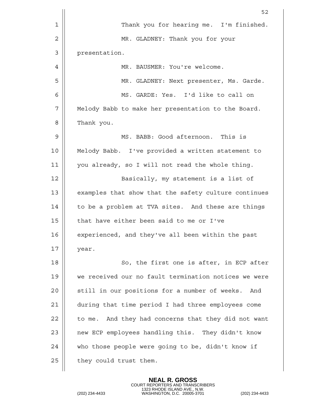|    | 52                                                   |
|----|------------------------------------------------------|
| 1  | Thank you for hearing me. I'm finished.              |
| 2  | MR. GLADNEY: Thank you for your                      |
| 3  | presentation.                                        |
| 4  | MR. BAUSMER: You're welcome.                         |
| 5  | MR. GLADNEY: Next presenter, Ms. Garde.              |
| 6  | MS. GARDE: Yes. I'd like to call on                  |
| 7  | Melody Babb to make her presentation to the Board.   |
| 8  | Thank you.                                           |
| 9  | MS. BABB: Good afternoon. This is                    |
| 10 | Melody Babb. I've provided a written statement to    |
| 11 | you already, so I will not read the whole thing.     |
| 12 | Basically, my statement is a list of                 |
| 13 | examples that show that the safety culture continues |
| 14 | to be a problem at TVA sites. And these are things   |
| 15 | that have either been said to me or I've             |
| 16 | experienced, and they've all been within the past    |
| 17 | year.                                                |
| 18 | So, the first one is after, in ECP after             |
| 19 | we received our no fault termination notices we were |
| 20 | still in our positions for a number of weeks.<br>And |
| 21 | during that time period I had three employees come   |
| 22 | to me. And they had concerns that they did not want  |
| 23 | new ECP employees handling this. They didn't know    |
| 24 | who those people were going to be, didn't know if    |
| 25 | they could trust them.                               |
|    |                                                      |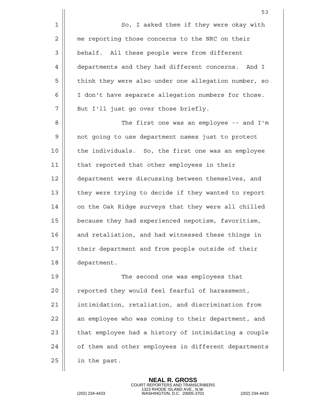|    | 53                                                   |
|----|------------------------------------------------------|
| 1  | So, I asked them if they were okay with              |
| 2  | me reporting those concerns to the NRC on their      |
| 3  | behalf. All these people were from different         |
| 4  | departments and they had different concerns. And I   |
| 5  | think they were also under one allegation number, so |
| 6  | I don't have separate allegation numbers for those.  |
| 7  | But I'll just go over those briefly.                 |
| 8  | The first one was an employee -- and I'm             |
| 9  | not going to use department names just to protect    |
| 10 | the individuals. So, the first one was an employee   |
| 11 | that reported that other employees in their          |
| 12 | department were discussing between themselves, and   |
| 13 | they were trying to decide if they wanted to report  |
| 14 | on the Oak Ridge surveys that they were all chilled  |
| 15 | because they had experienced nepotism, favoritism,   |
| 16 | and retaliation, and had witnessed these things in   |
| 17 | their department and from people outside of their    |
| 18 | department.                                          |
| 19 | The second one was employees that                    |
| 20 | reported they would feel fearful of harassment,      |
| 21 | intimidation, retaliation, and discrimination from   |
| 22 | an employee who was coming to their department, and  |
| 23 | that employee had a history of intimidating a couple |
| 24 | of them and other employees in different departments |
| 25 | in the past.                                         |
|    |                                                      |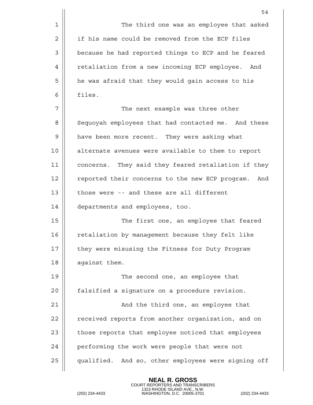|    | 54                                                     |
|----|--------------------------------------------------------|
| 1  | The third one was an employee that asked               |
| 2  | if his name could be removed from the ECP files        |
| 3  | because he had reported things to ECP and he feared    |
| 4  | retaliation from a new incoming ECP employee. And      |
| 5  | he was afraid that they would gain access to his       |
| 6  | files.                                                 |
| 7  | The next example was three other                       |
| 8  | Sequoyah employees that had contacted me. And these    |
| 9  | have been more recent. They were asking what           |
| 10 | alternate avenues were available to them to report     |
| 11 | concerns. They said they feared retaliation if they    |
| 12 | reported their concerns to the new ECP program.<br>And |
| 13 | those were -- and these are all different              |
| 14 | departments and employees, too.                        |
| 15 | The first one, an employee that feared                 |
| 16 | retaliation by management because they felt like       |
| 17 | they were misusing the Fitness for Duty Program        |
| 18 | against them.                                          |
| 19 | The second one, an employee that                       |
| 20 | falsified a signature on a procedure revision.         |
| 21 | And the third one, an employee that                    |
| 22 | received reports from another organization, and on     |
| 23 | those reports that employee noticed that employees     |
| 24 | performing the work were people that were not          |
| 25 | qualified. And so, other employees were signing off    |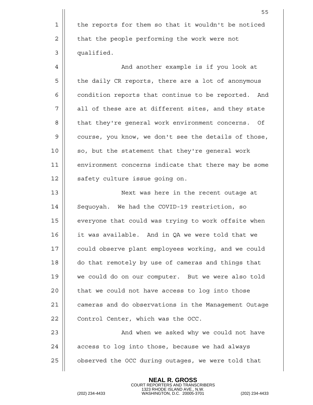55 1 | the reports for them so that it wouldn't be noticed  $2 \parallel$  that the people performing the work were not 3 qualified. 4 And another example is if you look at 5 | the daily CR reports, there are a lot of anonymous 6 | condition reports that continue to be reported. And 7 || all of these are at different sites, and they state 8 || that they're general work environment concerns. Of 9 | course, you know, we don't see the details of those,  $10$  || so, but the statement that they're general work 11 || environment concerns indicate that there may be some 12 || safety culture issue going on. 13 Next was here in the recent outage at 14 Sequoyah. We had the COVID-19 restriction, so  $15$   $\parallel$  everyone that could was trying to work offsite when 16 it was available. And in QA we were told that we 17 || could observe plant employees working, and we could 18 do that remotely by use of cameras and things that 19 we could do on our computer. But we were also told  $20$  | that we could not have access to log into those 21 cameras and do observations in the Management Outage 22 | Control Center, which was the OCC. 23 And when we asked why we could not have  $24$  || access to log into those, because we had always 25 | observed the OCC during outages, we were told that

> **NEAL R. GROSS** COURT REPORTERS AND TRANSCRIBERS

1323 RHODE ISLAND AVE., N.W. (202) 234-4433 WASHINGTON, D.C. 20005-3701 (202) 234-4433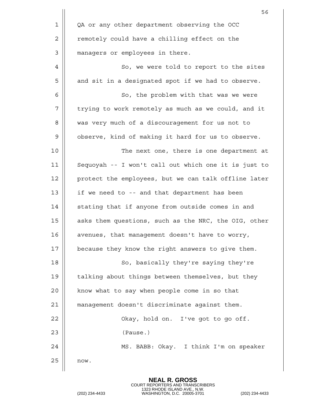|                | 56                                                   |
|----------------|------------------------------------------------------|
| $\mathbf 1$    | QA or any other department observing the OCC         |
| 2              | remotely could have a chilling effect on the         |
| $\mathfrak{Z}$ | managers or employees in there.                      |
| 4              | So, we were told to report to the sites              |
| 5              | and sit in a designated spot if we had to observe.   |
| 6              | So, the problem with that was we were                |
| 7              | trying to work remotely as much as we could, and it  |
| 8              | was very much of a discouragement for us not to      |
| 9              | observe, kind of making it hard for us to observe.   |
| 10             | The next one, there is one department at             |
| 11             | Sequoyah -- I won't call out which one it is just to |
| 12             | protect the employees, but we can talk offline later |
| 13             | if we need to -- and that department has been        |
| 14             | stating that if anyone from outside comes in and     |
| 15             | asks them questions, such as the NRC, the OIG, other |
| 16             | avenues, that management doesn't have to worry,      |
| 17             | because they know the right answers to give them.    |
| 18             | So, basically they're saying they're                 |
| 19             | talking about things between themselves, but they    |
| 20             | know what to say when people come in so that         |
| 21             | management doesn't discriminate against them.        |
| 22             | Okay, hold on. I've got to go off.                   |
| 23             | (Pause.)                                             |
| 24             | MS. BABB: Okay. I think I'm on speaker               |
| 25             | now.                                                 |
|                |                                                      |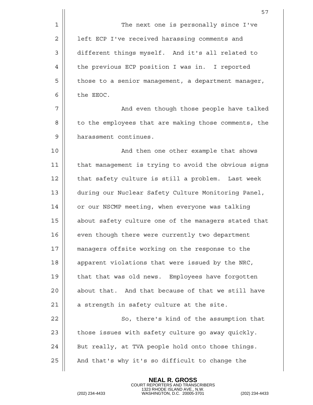|    | 57                                                   |
|----|------------------------------------------------------|
| 1  | The next one is personally since I've                |
| 2  | left ECP I've received harassing comments and        |
| 3  | different things myself. And it's all related to     |
| 4  | the previous ECP position I was in. I reported       |
| 5  | those to a senior management, a department manager,  |
| 6  | the EEOC.                                            |
| 7  | And even though those people have talked             |
| 8  | to the employees that are making those comments, the |
| 9  | harassment continues.                                |
| 10 | And then one other example that shows                |
| 11 | that management is trying to avoid the obvious signs |
| 12 | that safety culture is still a problem. Last week    |
| 13 | during our Nuclear Safety Culture Monitoring Panel,  |
| 14 | or our NSCMP meeting, when everyone was talking      |
| 15 | about safety culture one of the managers stated that |
| 16 | even though there were currently two department      |
| 17 | managers offsite working on the response to the      |
| 18 | apparent violations that were issued by the NRC,     |
| 19 | that that was old news. Employees have forgotten     |
| 20 | about that. And that because of that we still have   |
| 21 | a strength in safety culture at the site.            |
| 22 | So, there's kind of the assumption that              |
| 23 | those issues with safety culture go away quickly.    |
| 24 | But really, at TVA people hold onto those things.    |
| 25 | And that's why it's so difficult to change the       |
|    |                                                      |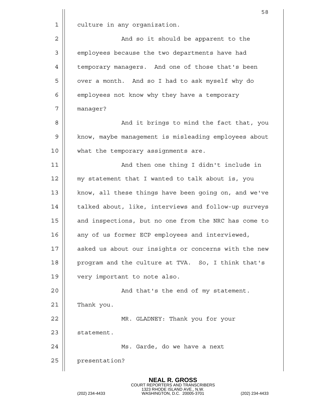|    | 58                                                   |
|----|------------------------------------------------------|
| 1  | culture in any organization.                         |
| 2  | And so it should be apparent to the                  |
| 3  | employees because the two departments have had       |
| 4  | temporary managers. And one of those that's been     |
| 5  | over a month. And so I had to ask myself why do      |
| 6  | employees not know why they have a temporary         |
| 7  | manager?                                             |
| 8  | And it brings to mind the fact that, you             |
| 9  | know, maybe management is misleading employees about |
| 10 | what the temporary assignments are.                  |
| 11 | And then one thing I didn't include in               |
| 12 | my statement that I wanted to talk about is, you     |
| 13 | know, all these things have been going on, and we've |
| 14 | talked about, like, interviews and follow-up surveys |
| 15 | and inspections, but no one from the NRC has come to |
| 16 | any of us former ECP employees and interviewed,      |
| 17 | asked us about our insights or concerns with the new |
| 18 | program and the culture at TVA. So, I think that's   |
| 19 | very important to note also.                         |
| 20 | And that's the end of my statement.                  |
| 21 | Thank you.                                           |
| 22 | MR. GLADNEY: Thank you for your                      |
| 23 | statement.                                           |
| 24 | Ms. Garde, do we have a next                         |
| 25 | presentation?                                        |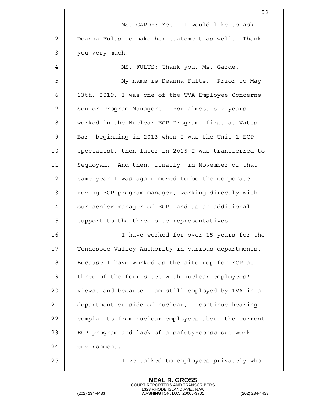|                | 59                                                  |
|----------------|-----------------------------------------------------|
| $\mathbf 1$    | MS. GARDE: Yes. I would like to ask                 |
| $\overline{2}$ | Deanna Fults to make her statement as well. Thank   |
| 3              | you very much.                                      |
| 4              | MS. FULTS: Thank you, Ms. Garde.                    |
| 5              | My name is Deanna Fults. Prior to May               |
| 6              | 13th, 2019, I was one of the TVA Employee Concerns  |
| 7              | Senior Program Managers. For almost six years I     |
| 8              | worked in the Nuclear ECP Program, first at Watts   |
| 9              | Bar, beginning in 2013 when I was the Unit 1 ECP    |
| 10             | specialist, then later in 2015 I was transferred to |
| 11             | Sequoyah. And then, finally, in November of that    |
| 12             | same year I was again moved to be the corporate     |
| 13             | roving ECP program manager, working directly with   |
| 14             | our senior manager of ECP, and as an additional     |
| 15             | support to the three site representatives.          |
| 16             | I have worked for over 15 years for the             |
| 17             | Tennessee Valley Authority in various departments.  |
| 18             | Because I have worked as the site rep for ECP at    |
| 19             | three of the four sites with nuclear employees'     |
| 20             | views, and because I am still employed by TVA in a  |
| 21             | department outside of nuclear, I continue hearing   |
| 22             | complaints from nuclear employees about the current |
| 23             | ECP program and lack of a safety-conscious work     |
| 24             | environment.                                        |
| 25             | I've talked to employees privately who              |
|                |                                                     |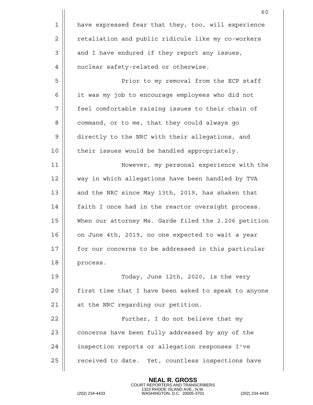|             | 60                                                   |
|-------------|------------------------------------------------------|
| $\mathbf 1$ | have expressed fear that they, too, will experience  |
| 2           | retaliation and public ridicule like my co-workers   |
| 3           | and I have endured if they report any issues,        |
| 4           | nuclear safety-related or otherwise.                 |
| 5           | Prior to my removal from the ECP staff               |
| 6           | it was my job to encourage employees who did not     |
| 7           | feel comfortable raising issues to their chain of    |
| 8           | command, or to me, that they could always go         |
| 9           | directly to the NRC with their allegations, and      |
| 10          | their issues would be handled appropriately.         |
| 11          | However, my personal experience with the             |
| 12          | way in which allegations have been handled by TVA    |
| 13          | and the NRC since May 13th, 2019, has shaken that    |
| 14          | faith I once had in the reactor oversight process.   |
| 15          | When our attorney Ms. Garde filed the 2.206 petition |
| 16          | on June 4th, 2019, no one expected to wait a year    |
| 17          | for our concerns to be addressed in this particular  |
| 18          | process.                                             |
| 19          | Today, June 12th, 2020, is the very                  |
| 20          | first time that I have been asked to speak to anyone |
| 21          | at the NRC regarding our petition.                   |
| 22          | Further, I do not believe that my                    |
| 23          | concerns have been fully addressed by any of the     |
| 24          | inspection reports or allegation responses I've      |
| 25          | received to date. Yet, countless inspections have    |
|             |                                                      |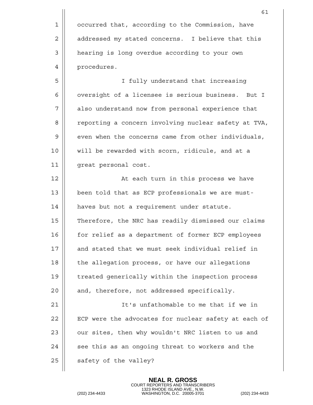61 1 | occurred that, according to the Commission, have 2 | addressed my stated concerns. I believe that this 3 | hearing is long overdue according to your own 4 | procedures. 5 I fully understand that increasing 6 | oversight of a licensee is serious business. But I 7 || also understand now from personal experience that 8 | Peporting a concern involving nuclear safety at TVA,  $9 \parallel$  even when the concerns came from other individuals, 10 || will be rewarded with scorn, ridicule, and at a 11 || qreat personal cost. 12 || At each turn in this process we have 13 || been told that as ECP professionals we are must-14 | haves but not a requirement under statute. 15 | Therefore, the NRC has readily dismissed our claims 16 || for relief as a department of former ECP employees 17 || and stated that we must seek individual relief in  $18$  | the allegation process, or have our allegations 19 || treated generically within the inspection process  $20$  || and, therefore, not addressed specifically. 21 It's unfathomable to me that if we in 22 | ECP were the advocates for nuclear safety at each of  $23$   $\parallel$  our sites, then why wouldn't NRC listen to us and  $24$   $\parallel$  see this as an ongoing threat to workers and the  $25$  || safety of the valley?

**NEAL R. GROSS**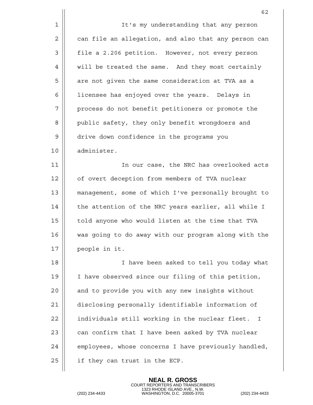|    | 62                                                              |
|----|-----------------------------------------------------------------|
| 1  | It's my understanding that any person                           |
| 2  | can file an allegation, and also that any person can            |
| 3  | file a 2.206 petition. However, not every person                |
| 4  | will be treated the same. And they most certainly               |
| 5  | are not given the same consideration at TVA as a                |
| 6  | licensee has enjoyed over the years. Delays in                  |
| 7  | process do not benefit petitioners or promote the               |
| 8  | public safety, they only benefit wrongdoers and                 |
| 9  | drive down confidence in the programs you                       |
| 10 | administer.                                                     |
| 11 | In our case, the NRC has overlooked acts                        |
| 12 | of overt deception from members of TVA nuclear                  |
| 13 | management, some of which I've personally brought to            |
| 14 | the attention of the NRC years earlier, all while I             |
| 15 | told anyone who would listen at the time that TVA               |
| 16 | was going to do away with our program along with the            |
| 17 | people in it.                                                   |
| 18 | I have been asked to tell you today what                        |
| 19 | I have observed since our filing of this petition,              |
| 20 | and to provide you with any new insights without                |
| 21 | disclosing personally identifiable information of               |
| 22 | individuals still working in the nuclear fleet.<br>$\mathbf{I}$ |
| 23 | can confirm that I have been asked by TVA nuclear               |
| 24 | employees, whose concerns I have previously handled,            |
| 25 | if they can trust in the ECP.                                   |
|    |                                                                 |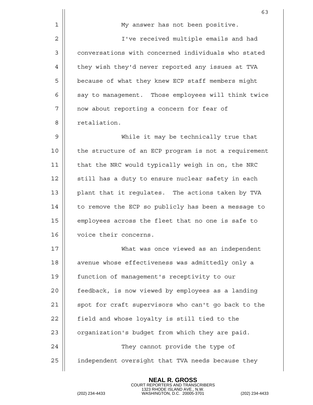|    | 63                                                   |
|----|------------------------------------------------------|
| 1  | My answer has not been positive.                     |
| 2  | I've received multiple emails and had                |
| 3  | conversations with concerned individuals who stated  |
| 4  | they wish they'd never reported any issues at TVA    |
| 5  | because of what they knew ECP staff members might    |
| 6  | say to management. Those employees will think twice  |
| 7  | now about reporting a concern for fear of            |
| 8  | retaliation.                                         |
| 9  | While it may be technically true that                |
| 10 | the structure of an ECP program is not a requirement |
| 11 | that the NRC would typically weigh in on, the NRC    |
| 12 | still has a duty to ensure nuclear safety in each    |
| 13 | plant that it regulates. The actions taken by TVA    |
| 14 | to remove the ECP so publicly has been a message to  |
| 15 | employees across the fleet that no one is safe to    |
| 16 | voice their concerns.                                |
| 17 | What was once viewed as an independent               |
| 18 | avenue whose effectiveness was admittedly only a     |
| 19 | function of management's receptivity to our          |
| 20 | feedback, is now viewed by employees as a landing    |
| 21 | spot for craft supervisors who can't go back to the  |
| 22 | field and whose loyalty is still tied to the         |
| 23 | organization's budget from which they are paid.      |
| 24 | They cannot provide the type of                      |
| 25 | independent oversight that TVA needs because they    |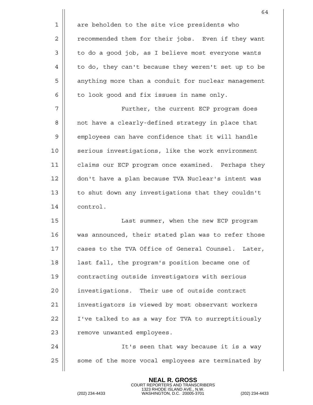|             | 64                                                    |
|-------------|-------------------------------------------------------|
| $\mathbf 1$ | are beholden to the site vice presidents who          |
| 2           | recommended them for their jobs. Even if they want    |
| 3           | to do a good job, as I believe most everyone wants    |
| 4           | to do, they can't because they weren't set up to be   |
| 5           | anything more than a conduit for nuclear management   |
| 6           | to look good and fix issues in name only.             |
| 7           | Further, the current ECP program does                 |
| 8           | not have a clearly-defined strategy in place that     |
| 9           | employees can have confidence that it will handle     |
| 10          | serious investigations, like the work environment     |
| 11          | claims our ECP program once examined. Perhaps they    |
| 12          | don't have a plan because TVA Nuclear's intent was    |
| 13          | to shut down any investigations that they couldn't    |
| 14          | control.                                              |
| 15          | Last summer, when the new ECP program                 |
| 16          | was announced, their stated plan was to refer those   |
| 17          | cases to the TVA Office of General Counsel.<br>Later, |
| 18          | last fall, the program's position became one of       |
| 19          | contracting outside investigators with serious        |
| 20          | investigations. Their use of outside contract         |
| 21          | investigators is viewed by most observant workers     |
| 22          | I've talked to as a way for TVA to surreptitiously    |
| 23          | remove unwanted employees.                            |
| 24          | It's seen that way because it is a way                |
| 25          | some of the more vocal employees are terminated by    |
|             |                                                       |

COURT REPORTERS AND TRANSCRIBERS 1323 RHODE ISLAND AVE., N.W. (202) 234-4433 WASHINGTON, D.C. 20005-3701 (202) 234-4433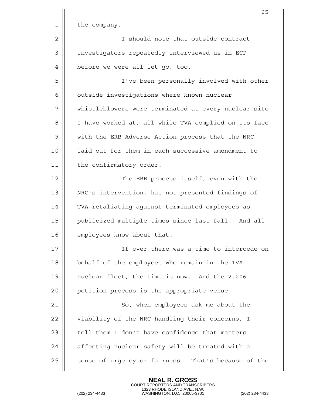|             | 65                                                   |
|-------------|------------------------------------------------------|
| $\mathbf 1$ | the company.                                         |
| 2           | I should note that outside contract                  |
| 3           | investigators repeatedly interviewed us in ECP       |
| 4           | before we were all let go, too.                      |
| 5           | I've been personally involved with other             |
| 6           | outside investigations where known nuclear           |
| 7           | whistleblowers were terminated at every nuclear site |
| 8           | I have worked at, all while TVA complied on its face |
| 9           | with the ERB Adverse Action process that the NRC     |
| 10          | laid out for them in each successive amendment to    |
| 11          | the confirmatory order.                              |
| 12          | The ERB process itself, even with the                |
| 13          | NRC's intervention, has not presented findings of    |
| 14          | TVA retaliating against terminated employees as      |
| 15          | publicized multiple times since last fall. And all   |
| 16          | employees know about that.                           |
| 17          | If ever there was a time to intercede on             |
| 18          | behalf of the employees who remain in the TVA        |
| 19          | nuclear fleet, the time is now. And the 2.206        |
| 20          | petition process is the appropriate venue.           |
| 21          | So, when employees ask me about the                  |
| 22          | viability of the NRC handling their concerns, I      |
| 23          | tell them I don't have confidence that matters       |
| 24          | affecting nuclear safety will be treated with a      |
| 25          | sense of urgency or fairness. That's because of the  |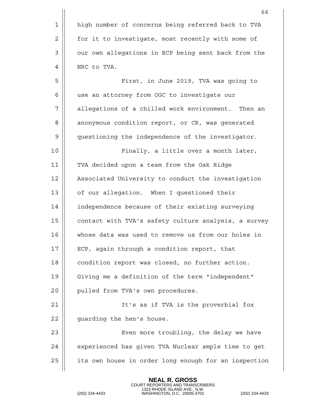|    | 66                                                   |
|----|------------------------------------------------------|
| 1  | high number of concerns being referred back to TVA   |
| 2  | for it to investigate, most recently with some of    |
| 3  | our own allegations in ECP being sent back from the  |
| 4  | NRC to TVA.                                          |
| 5  | First, in June 2019, TVA was going to                |
| 6  | use an attorney from OGC to investigate our          |
| 7  | allegations of a chilled work environment. Then an   |
| 8  | anonymous condition report, or CR, was generated     |
| 9  | questioning the independence of the investigator.    |
| 10 | Finally, a little over a month later,                |
| 11 | TVA decided upon a team from the Oak Ridge           |
| 12 | Associated University to conduct the investigation   |
| 13 | of our allegation. When I questioned their           |
| 14 | independence because of their existing surveying     |
| 15 | contact with TVA's safety culture analysis, a survey |
| 16 | whose data was used to remove us from our holes in   |
| 17 | ECP, again through a condition report, that          |
| 18 | condition report was closed, no further action.      |
| 19 | Giving me a definition of the term "independent"     |
| 20 | pulled from TVA's own procedures.                    |
| 21 | It's as if TVA is the proverbial fox                 |
| 22 | guarding the hen's house.                            |
| 23 | Even more troubling, the delay we have               |
| 24 | experienced has given TVA Nuclear ample time to get  |
| 25 | its own house in order long enough for an inspection |
|    |                                                      |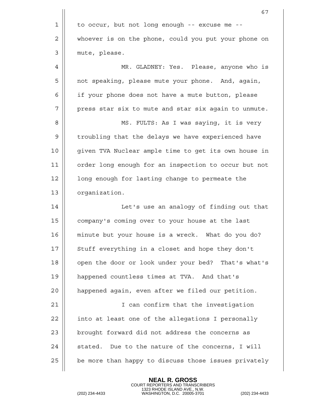|             | 67                                                   |
|-------------|------------------------------------------------------|
| $\mathbf 1$ | to occur, but not long enough -- excuse me --        |
| 2           | whoever is on the phone, could you put your phone on |
| 3           | mute, please.                                        |
| 4           | MR. GLADNEY: Yes. Please, anyone who is              |
| 5           | not speaking, please mute your phone. And, again,    |
| 6           | if your phone does not have a mute button, please    |
| 7           | press star six to mute and star six again to unmute. |
| 8           | MS. FULTS: As I was saying, it is very               |
| 9           | troubling that the delays we have experienced have   |
| 10          | given TVA Nuclear ample time to get its own house in |
| 11          | order long enough for an inspection to occur but not |
| 12          | long enough for lasting change to permeate the       |
| 13          | organization.                                        |
| 14          | Let's use an analogy of finding out that             |
| 15          | company's coming over to your house at the last      |
| 16          | minute but your house is a wreck. What do you do?    |
| 17          | Stuff everything in a closet and hope they don't     |
| 18          | open the door or look under your bed? That's what's  |
| 19          | happened countless times at TVA. And that's          |
| 20          | happened again, even after we filed our petition.    |
| 21          | I can confirm that the investigation                 |
| 22          | into at least one of the allegations I personally    |
| 23          | brought forward did not address the concerns as      |
| 24          | stated. Due to the nature of the concerns, I will    |
| 25          | be more than happy to discuss those issues privately |
|             |                                                      |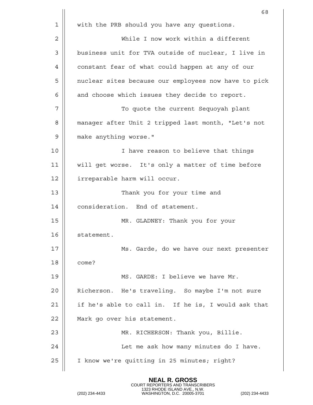|             | 68                                                   |
|-------------|------------------------------------------------------|
| $\mathbf 1$ | with the PRB should you have any questions.          |
| 2           | While I now work within a different                  |
| 3           | business unit for TVA outside of nuclear, I live in  |
| 4           | constant fear of what could happen at any of our     |
| 5           | nuclear sites because our employees now have to pick |
| 6           | and choose which issues they decide to report.       |
| 7           | To quote the current Sequoyah plant                  |
| 8           | manager after Unit 2 tripped last month, "Let's not  |
| 9           | make anything worse."                                |
| 10          | I have reason to believe that things                 |
| 11          | will get worse. It's only a matter of time before    |
| 12          | irreparable harm will occur.                         |
| 13          | Thank you for your time and                          |
| 14          | consideration. End of statement.                     |
| 15          | MR. GLADNEY: Thank you for your                      |
| 16          | statement.                                           |
| 17          | Ms. Garde, do we have our next presenter             |
| 18          | come?                                                |
| 19          | MS. GARDE: I believe we have Mr.                     |
| 20          | Richerson. He's traveling. So maybe I'm not sure     |
| 21          | if he's able to call in. If he is, I would ask that  |
| 22          | Mark go over his statement.                          |
| 23          | MR. RICHERSON: Thank you, Billie.                    |
| 24          | Let me ask how many minutes do I have.               |
| 25          | I know we're quitting in 25 minutes; right?          |
|             |                                                      |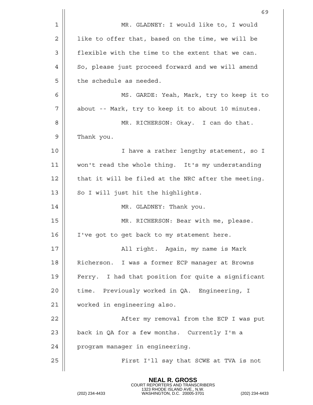|    | 69                                                  |
|----|-----------------------------------------------------|
| 1  | MR. GLADNEY: I would like to, I would               |
| 2  | like to offer that, based on the time, we will be   |
| 3  | flexible with the time to the extent that we can.   |
| 4  | So, please just proceed forward and we will amend   |
| 5  | the schedule as needed.                             |
| 6  | MS. GARDE: Yeah, Mark, try to keep it to            |
| 7  | about -- Mark, try to keep it to about 10 minutes.  |
| 8  | MR. RICHERSON: Okay. I can do that.                 |
| 9  | Thank you.                                          |
| 10 | I have a rather lengthy statement, so I             |
| 11 | won't read the whole thing. It's my understanding   |
| 12 | that it will be filed at the NRC after the meeting. |
| 13 | So I will just hit the highlights.                  |
| 14 | MR. GLADNEY: Thank you.                             |
| 15 | MR. RICHERSON: Bear with me, please.                |
| 16 | I've got to get back to my statement here.          |
| 17 | All right. Again, my name is Mark                   |
| 18 | Richerson. I was a former ECP manager at Browns     |
| 19 | Ferry. I had that position for quite a significant  |
| 20 | time. Previously worked in QA. Engineering, I       |
| 21 | worked in engineering also.                         |
| 22 | After my removal from the ECP I was put             |
| 23 | back in QA for a few months. Currently I'm a        |
| 24 | program manager in engineering.                     |
| 25 | First I'll say that SCWE at TVA is not              |
|    |                                                     |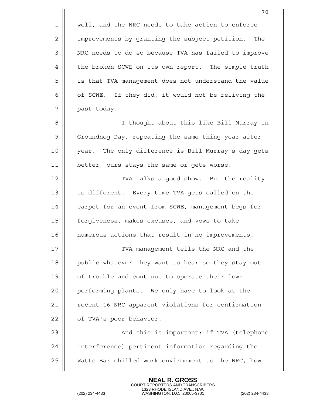|             | 70                                                   |
|-------------|------------------------------------------------------|
| $\mathbf 1$ | well, and the NRC needs to take action to enforce    |
| 2           | improvements by granting the subject petition. The   |
| 3           | NRC needs to do so because TVA has failed to improve |
| 4           | the broken SCWE on its own report. The simple truth  |
| 5           | is that TVA management does not understand the value |
| 6           | of SCWE. If they did, it would not be reliving the   |
| 7           | past today.                                          |
| 8           | I thought about this like Bill Murray in             |
| 9           | Groundhog Day, repeating the same thing year after   |
| 10          | year. The only difference is Bill Murray's day gets  |
| 11          | better, ours stays the same or gets worse.           |
| 12          | TVA talks a good show. But the reality               |
| 13          | is different. Every time TVA gets called on the      |
| 14          | carpet for an event from SCWE, management begs for   |
| 15          | forgiveness, makes excuses, and vows to take         |
| 16          | numerous actions that result in no improvements.     |
| 17          | TVA management tells the NRC and the                 |
| 18          | public whatever they want to hear so they stay out   |
| 19          | of trouble and continue to operate their low-        |
| 20          | performing plants. We only have to look at the       |
| 21          | recent 16 NRC apparent violations for confirmation   |
| 22          | of TVA's poor behavior.                              |
| 23          | And this is important: if TVA (telephone             |
| 24          | interference) pertinent information regarding the    |
| 25          | Watts Bar chilled work environment to the NRC, how   |
|             |                                                      |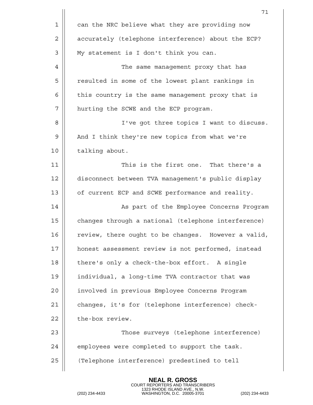|             | 71                                                  |
|-------------|-----------------------------------------------------|
| $\mathbf 1$ | can the NRC believe what they are providing now     |
| 2           | accurately (telephone interference) about the ECP?  |
| 3           | My statement is I don't think you can.              |
| 4           | The same management proxy that has                  |
| 5           | resulted in some of the lowest plant rankings in    |
| 6           | this country is the same management proxy that is   |
| 7           | hurting the SCWE and the ECP program.               |
| 8           | I've got three topics I want to discuss.            |
| 9           | And I think they're new topics from what we're      |
| 10          | talking about.                                      |
| 11          | This is the first one. That there's a               |
| 12          | disconnect between TVA management's public display  |
| 13          | of current ECP and SCWE performance and reality.    |
| 14          | As part of the Employee Concerns Program            |
| 15          | changes through a national (telephone interference) |
| 16          | review, there ought to be changes. However a valid, |
| 17          | honest assessment review is not performed, instead  |
| 18          | there's only a check-the-box effort. A single       |
| 19          | individual, a long-time TVA contractor that was     |
| 20          | involved in previous Employee Concerns Program      |
| 21          | changes, it's for (telephone interference) check-   |
| 22          | the-box review.                                     |
| 23          | Those surveys (telephone interference)              |
| 24          | employees were completed to support the task.       |
| 25          | (Telephone interference) predestined to tell        |
|             |                                                     |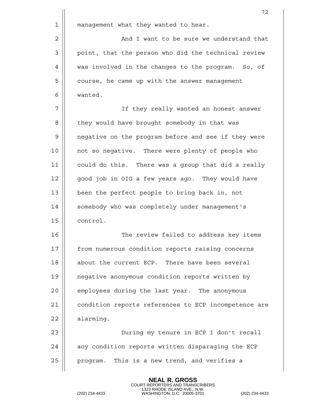|    | 72                                                   |
|----|------------------------------------------------------|
| 1  | management what they wanted to hear.                 |
| 2  | And I want to be sure we understand that             |
| 3  | point, that the person who did the technical review  |
| 4  | was involved in the changes to the program. So, of   |
| 5  | course, he came up with the answer management        |
| 6  | wanted.                                              |
| 7  | If they really wanted an honest answer               |
| 8  | they would have brought somebody in that was         |
| 9  | negative on the program before and see if they were  |
| 10 | not so negative. There were plenty of people who     |
| 11 | could do this. There was a group that did a really   |
| 12 | good job in OIG a few years ago. They would have     |
| 13 | been the perfect people to bring back in, not        |
| 14 | somebody who was completely under management's       |
| 15 | control.                                             |
| 16 | The review failed to address key items               |
| 17 | from numerous condition reports raising concerns     |
| 18 | about the current ECP. There have been several       |
| 19 | negative anonymous condition reports written by      |
| 20 | employees during the last year. The anonymous        |
| 21 | condition reports references to ECP incompetence are |
| 22 | alarming.                                            |
| 23 | During my tenure in ECP I don't recall               |
| 24 | any condition reports written disparaging the ECP    |
| 25 | program. This is a new trend, and verifies a         |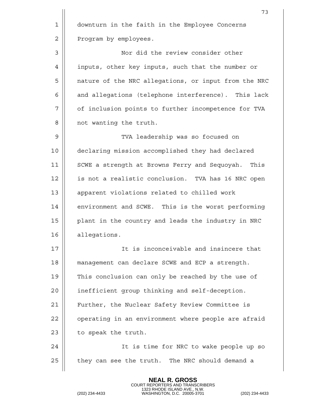|    | 73                                                    |
|----|-------------------------------------------------------|
| 1  | downturn in the faith in the Employee Concerns        |
| 2  | Program by employees.                                 |
| 3  | Nor did the review consider other                     |
| 4  | inputs, other key inputs, such that the number or     |
| 5  | nature of the NRC allegations, or input from the NRC  |
| 6  | and allegations (telephone interference). This lack   |
| 7  | of inclusion points to further incompetence for TVA   |
| 8  | not wanting the truth.                                |
| 9  | TVA leadership was so focused on                      |
| 10 | declaring mission accomplished they had declared      |
| 11 | SCWE a strength at Browns Ferry and Sequoyah.<br>This |
| 12 | is not a realistic conclusion. TVA has 16 NRC open    |
| 13 | apparent violations related to chilled work           |
| 14 | environment and SCWE. This is the worst performing    |
| 15 | plant in the country and leads the industry in NRC    |
| 16 | allegations.                                          |
| 17 | It is inconceivable and insincere that                |
| 18 | management can declare SCWE and ECP a strength.       |
| 19 | This conclusion can only be reached by the use of     |
| 20 | inefficient group thinking and self-deception.        |
| 21 | Further, the Nuclear Safety Review Committee is       |
| 22 | operating in an environment where people are afraid   |
| 23 | to speak the truth.                                   |
| 24 | It is time for NRC to wake people up so               |
| 25 | they can see the truth. The NRC should demand a       |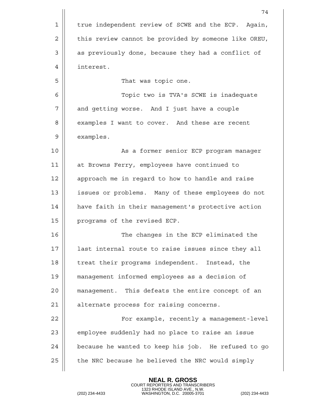|             | 74                                                   |
|-------------|------------------------------------------------------|
| $\mathbf 1$ | true independent review of SCWE and the ECP. Again,  |
| 2           | this review cannot be provided by someone like OREU, |
| 3           | as previously done, because they had a conflict of   |
| 4           | interest.                                            |
| 5           | That was topic one.                                  |
| 6           | Topic two is TVA's SCWE is inadequate                |
| 7           | and getting worse. And I just have a couple          |
| 8           | examples I want to cover. And these are recent       |
| 9           | examples.                                            |
| 10          | As a former senior ECP program manager               |
| 11          | at Browns Ferry, employees have continued to         |
| 12          | approach me in regard to how to handle and raise     |
| 13          | issues or problems. Many of these employees do not   |
| 14          | have faith in their management's protective action   |
| 15          | programs of the revised ECP.                         |
| 16          | The changes in the ECP eliminated the                |
| 17          | last internal route to raise issues since they all   |
| 18          | treat their programs independent. Instead, the       |
| 19          | management informed employees as a decision of       |
| 20          | management. This defeats the entire concept of an    |
| 21          | alternate process for raising concerns.              |
| 22          | For example, recently a management-level             |
| 23          | employee suddenly had no place to raise an issue     |
| 24          | because he wanted to keep his job. He refused to go  |
| 25          | the NRC because he believed the NRC would simply     |
|             |                                                      |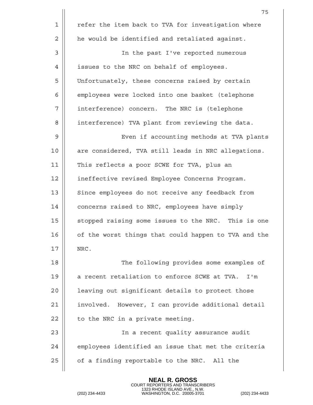|             | 75                                                   |
|-------------|------------------------------------------------------|
| $\mathbf 1$ | refer the item back to TVA for investigation where   |
| 2           | he would be identified and retaliated against.       |
| 3           | In the past I've reported numerous                   |
| 4           | issues to the NRC on behalf of employees.            |
| 5           | Unfortunately, these concerns raised by certain      |
| 6           | employees were locked into one basket (telephone     |
| 7           | interference) concern. The NRC is (telephone         |
| 8           | interference) TVA plant from reviewing the data.     |
| 9           | Even if accounting methods at TVA plants             |
| 10          | are considered, TVA still leads in NRC allegations.  |
| 11          | This reflects a poor SCWE for TVA, plus an           |
| 12          | ineffective revised Employee Concerns Program.       |
| 13          | Since employees do not receive any feedback from     |
| 14          | concerns raised to NRC, employees have simply        |
| 15          | stopped raising some issues to the NRC. This is one  |
| 16          | of the worst things that could happen to TVA and the |
| 17          | NRC.                                                 |
| 18          | The following provides some examples of              |
| 19          | a recent retaliation to enforce SCWE at TVA.<br>I'm  |
| 20          | leaving out significant details to protect those     |
| 21          | involved. However, I can provide additional detail   |
| 22          | to the NRC in a private meeting.                     |
| 23          | In a recent quality assurance audit                  |
| 24          | employees identified an issue that met the criteria  |
| 25          | of a finding reportable to the NRC. All the          |
|             |                                                      |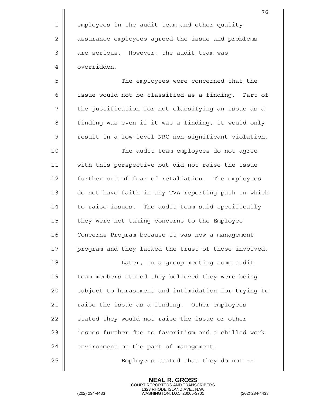|             | 76                                                   |
|-------------|------------------------------------------------------|
| $\mathbf 1$ | employees in the audit team and other quality        |
| 2           | assurance employees agreed the issue and problems    |
| 3           | are serious. However, the audit team was             |
| 4           | overridden.                                          |
| 5           | The employees were concerned that the                |
| 6           | issue would not be classified as a finding. Part of  |
| 7           | the justification for not classifying an issue as a  |
| 8           | finding was even if it was a finding, it would only  |
| 9           | result in a low-level NRC non-significant violation. |
| 10          | The audit team employees do not agree                |
| 11          | with this perspective but did not raise the issue    |
| 12          | further out of fear of retaliation. The employees    |
| 13          | do not have faith in any TVA reporting path in which |
| 14          | to raise issues. The audit team said specifically    |
| 15          | they were not taking concerns to the Employee        |
| 16          | Concerns Program because it was now a management     |
| 17          | program and they lacked the trust of those involved. |
| 18          | Later, in a group meeting some audit                 |
| 19          | team members stated they believed they were being    |
| 20          | subject to harassment and intimidation for trying to |
| 21          | raise the issue as a finding. Other employees        |
| 22          | stated they would not raise the issue or other       |
| 23          | issues further due to favoritism and a chilled work  |
| 24          | environment on the part of management.               |
| 25          | Employees stated that they do not --                 |
|             |                                                      |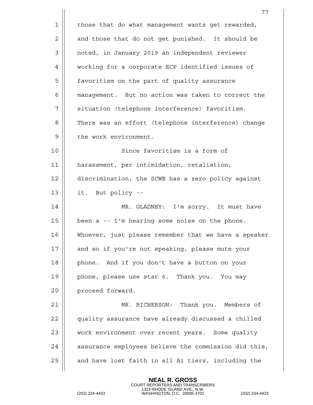|    | 77                                                   |
|----|------------------------------------------------------|
| 1  | those that do what management wants get rewarded,    |
| 2  | and those that do not get punished. It should be     |
| 3  | noted, in January 2019 an independent reviewer       |
| 4  | working for a corporate ECP identified issues of     |
| 5  | favoritism on the part of quality assurance          |
| 6  | management. But no action was taken to correct the   |
| 7  | situation (telephone interference) favoritism.       |
| 8  | There was an effort (telephone interference) change  |
| 9  | the work environment.                                |
| 10 | Since favoritism is a form of                        |
| 11 | harassment, per intimidation, retaliation,           |
| 12 | discrimination, the SCWE has a zero policy against   |
| 13 | it. But policy --                                    |
| 14 | MR. GLADNEY: I'm sorry. It must have                 |
| 15 | been a -- I'm hearing some noise on the phone.       |
| 16 | Whoever, just please remember that we have a speaker |
| 17 | and so if you're not speaking, please mute your      |
| 18 | phone. And if you don't have a button on your        |
| 19 | phone, please use star 6. Thank you. You may         |
| 20 | proceed forward.                                     |
| 21 | MR. RICHERSON: Thank you. Members of                 |
| 22 | quality assurance have already discussed a chilled   |
| 23 | work environment over recent years. Some quality     |
| 24 | assurance employees believe the commission did this, |
| 25 | and have lost faith in all A1 tiers, including the   |

COURT REPORTERS AND TRANSCRIBERS 1323 RHODE ISLAND AVE., N.W. (202) 234-4433 WASHINGTON, D.C. 20005-3701 (202) 234-4433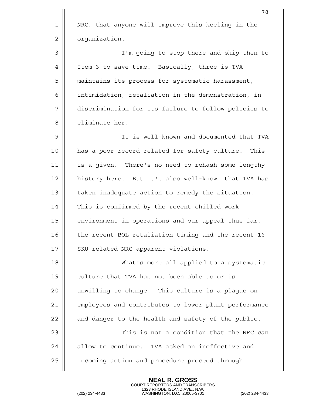|                | 78                                                   |
|----------------|------------------------------------------------------|
| $\mathbf 1$    | NRC, that anyone will improve this keeling in the    |
| $\overline{2}$ | organization.                                        |
| 3              | I'm going to stop there and skip then to             |
| 4              | Item 3 to save time. Basically, three is TVA         |
| 5              | maintains its process for systematic harassment,     |
| 6              | intimidation, retaliation in the demonstration, in   |
| 7              | discrimination for its failure to follow policies to |
| 8              | eliminate her.                                       |
| 9              | It is well-known and documented that TVA             |
| 10             | has a poor record related for safety culture. This   |
| 11             | is a given. There's no need to rehash some lengthy   |
| 12             | history here. But it's also well-known that TVA has  |
| 13             | taken inadequate action to remedy the situation.     |
| 14             | This is confirmed by the recent chilled work         |
| 15             | environment in operations and our appeal thus far,   |
| 16             | the recent BOL retaliation timing and the recent 16  |
| 17             | SKU related NRC apparent violations.                 |
| 18             | What's more all applied to a systematic              |
| 19             | culture that TVA has not been able to or is          |
| 20             | unwilling to change. This culture is a plague on     |
| 21             | employees and contributes to lower plant performance |
| 22             | and danger to the health and safety of the public.   |
| 23             | This is not a condition that the NRC can             |
| 24             | allow to continue. TVA asked an ineffective and      |
| 25             | incoming action and procedure proceed through        |
|                |                                                      |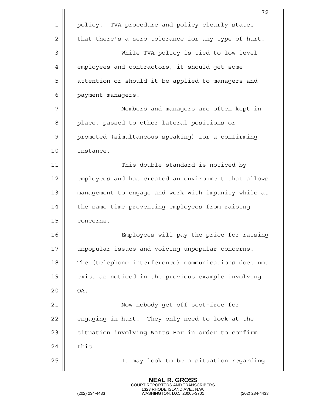|    | 79                                                   |
|----|------------------------------------------------------|
| 1  | policy. TVA procedure and policy clearly states      |
| 2  | that there's a zero tolerance for any type of hurt.  |
| 3  | While TVA policy is tied to low level                |
| 4  | employees and contractors, it should get some        |
| 5  | attention or should it be applied to managers and    |
| 6  | payment managers.                                    |
| 7  | Members and managers are often kept in               |
| 8  | place, passed to other lateral positions or          |
| 9  | promoted (simultaneous speaking) for a confirming    |
| 10 | instance.                                            |
| 11 | This double standard is noticed by                   |
| 12 | employees and has created an environment that allows |
| 13 | management to engage and work with impunity while at |
| 14 | the same time preventing employees from raising      |
| 15 | concerns.                                            |
| 16 | Employees will pay the price for raising             |
| 17 | unpopular issues and voicing unpopular concerns.     |
| 18 | The (telephone interference) communications does not |
| 19 | exist as noticed in the previous example involving   |
| 20 | QA.                                                  |
| 21 | Now nobody get off scot-free for                     |
| 22 | engaging in hurt. They only need to look at the      |
| 23 | situation involving Watts Bar in order to confirm    |
| 24 | this.                                                |
| 25 | It may look to be a situation regarding              |
|    |                                                      |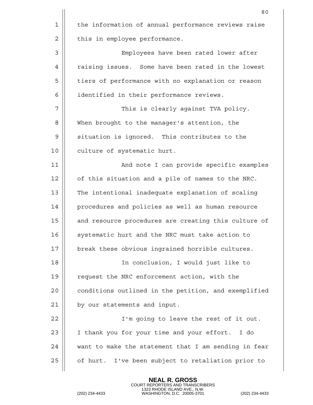|    | 80                                                   |
|----|------------------------------------------------------|
| 1  | the information of annual performance reviews raise  |
| 2  | this in employee performance.                        |
| 3  | Employees have been rated lower after                |
| 4  | raising issues. Some have been rated in the lowest   |
| 5  | tiers of performance with no explanation or reason   |
| 6  | identified in their performance reviews.             |
| 7  | This is clearly against TVA policy.                  |
| 8  | When brought to the manager's attention, the         |
| 9  | situation is ignored. This contributes to the        |
| 10 | culture of systematic hurt.                          |
| 11 | And note I can provide specific examples             |
| 12 | of this situation and a pile of names to the NRC.    |
| 13 | The intentional inadequate explanation of scaling    |
| 14 | procedures and policies as well as human resource    |
| 15 | and resource procedures are creating this culture of |
| 16 | systematic hurt and the NRC must take action to      |
| 17 | break these obvious ingrained horrible cultures.     |
| 18 | In conclusion, I would just like to                  |
| 19 | request the NRC enforcement action, with the         |
| 20 | conditions outlined in the petition, and exemplified |
| 21 | by our statements and input.                         |
| 22 | I'm going to leave the rest of it out.               |
| 23 | I thank you for your time and your effort. I do      |
| 24 | want to make the statement that I am sending in fear |
| 25 | of hurt. I've been subject to retaliation prior to   |
|    |                                                      |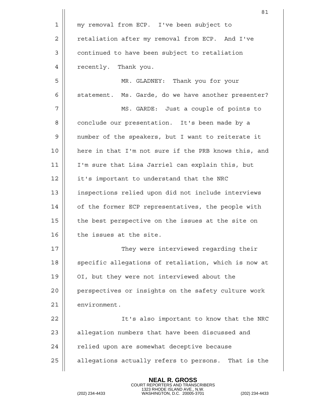|    | 81                                                   |
|----|------------------------------------------------------|
| 1  | my removal from ECP. I've been subject to            |
| 2  | retaliation after my removal from ECP. And I've      |
| 3  | continued to have been subject to retaliation        |
| 4  | recently. Thank you.                                 |
| 5  | MR. GLADNEY: Thank you for your                      |
| 6  | statement. Ms. Garde, do we have another presenter?  |
| 7  | MS. GARDE: Just a couple of points to                |
| 8  | conclude our presentation. It's been made by a       |
| 9  | number of the speakers, but I want to reiterate it   |
| 10 | here in that I'm not sure if the PRB knows this, and |
| 11 | I'm sure that Lisa Jarriel can explain this, but     |
| 12 | it's important to understand that the NRC            |
| 13 | inspections relied upon did not include interviews   |
| 14 | of the former ECP representatives, the people with   |
| 15 | the best perspective on the issues at the site on    |
| 16 | the issues at the site.                              |
| 17 | They were interviewed regarding their                |
| 18 | specific allegations of retaliation, which is now at |
| 19 | OI, but they were not interviewed about the          |
| 20 | perspectives or insights on the safety culture work  |
| 21 | environment.                                         |
| 22 | It's also important to know that the NRC             |
| 23 | allegation numbers that have been discussed and      |
| 24 | relied upon are somewhat deceptive because           |
| 25 | allegations actually refers to persons. That is the  |
|    |                                                      |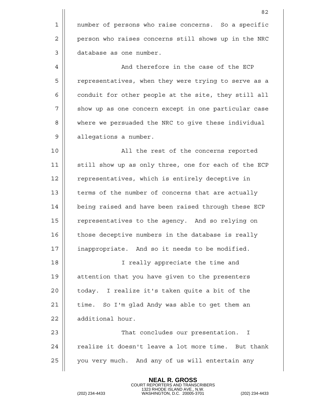|    | 82                                                   |
|----|------------------------------------------------------|
| 1  | number of persons who raise concerns. So a specific  |
| 2  | person who raises concerns still shows up in the NRC |
| 3  | database as one number.                              |
| 4  | And therefore in the case of the ECP                 |
| 5  | representatives, when they were trying to serve as a |
| 6  | conduit for other people at the site, they still all |
| 7  | show up as one concern except in one particular case |
| 8  | where we persuaded the NRC to give these individual  |
| 9  | allegations a number.                                |
| 10 | All the rest of the concerns reported                |
| 11 | still show up as only three, one for each of the ECP |
| 12 | representatives, which is entirely deceptive in      |
| 13 | terms of the number of concerns that are actually    |
| 14 | being raised and have been raised through these ECP  |
| 15 | representatives to the agency. And so relying on     |
| 16 | those deceptive numbers in the database is really    |
| 17 | inappropriate. And so it needs to be modified.       |
| 18 | I really appreciate the time and                     |
| 19 | attention that you have given to the presenters      |
| 20 | today. I realize it's taken quite a bit of the       |
| 21 | time. So I'm glad Andy was able to get them an       |
| 22 | additional hour.                                     |
| 23 | That concludes our presentation. I                   |
| 24 | realize it doesn't leave a lot more time. But thank  |
| 25 | you very much. And any of us will entertain any      |
|    |                                                      |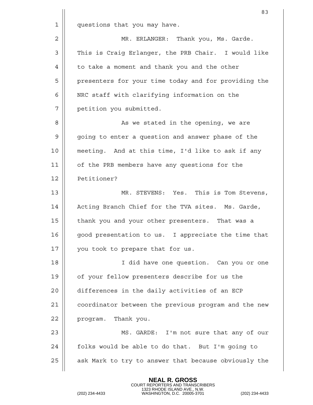|    | 83                                                   |
|----|------------------------------------------------------|
| 1  | questions that you may have.                         |
| 2  | MR. ERLANGER: Thank you, Ms. Garde.                  |
| 3  | This is Craig Erlanger, the PRB Chair. I would like  |
| 4  | to take a moment and thank you and the other         |
| 5  | presenters for your time today and for providing the |
| 6  | NRC staff with clarifying information on the         |
| 7  | petition you submitted.                              |
| 8  | As we stated in the opening, we are                  |
| 9  | going to enter a question and answer phase of the    |
| 10 | meeting. And at this time, I'd like to ask if any    |
| 11 | of the PRB members have any questions for the        |
| 12 | Petitioner?                                          |
| 13 | MR. STEVENS: Yes. This is Tom Stevens,               |
| 14 | Acting Branch Chief for the TVA sites. Ms. Garde,    |
| 15 | thank you and your other presenters. That was a      |
| 16 | good presentation to us. I appreciate the time that  |
| 17 | you took to prepare that for us.                     |
| 18 | I did have one question. Can you or one              |
| 19 | of your fellow presenters describe for us the        |
| 20 | differences in the daily activities of an ECP        |
| 21 | coordinator between the previous program and the new |
| 22 | program. Thank you.                                  |
| 23 | MS. GARDE: I'm not sure that any of our              |
| 24 | folks would be able to do that. But I'm going to     |
| 25 | ask Mark to try to answer that because obviously the |
|    |                                                      |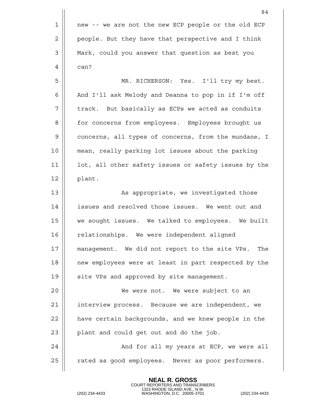|    | 84                                                    |
|----|-------------------------------------------------------|
| 1  | new -- we are not the new ECP people or the old ECP   |
| 2  | people. But they have that perspective and I think    |
| 3  | Mark, could you answer that question as best you      |
| 4  | can?                                                  |
| 5  | MR. RICHERSON: Yes. I'll try my best.                 |
| 6  | And I'll ask Melody and Deanna to pop in if I'm off   |
| 7  | track. But basically as ECPs we acted as conduits     |
| 8  | for concerns from employees. Employees brought us     |
| 9  | concerns, all types of concerns, from the mundane, I  |
| 10 | mean, really parking lot issues about the parking     |
| 11 | lot, all other safety issues or safety issues by the  |
| 12 | plant.                                                |
| 13 | As appropriate, we investigated those                 |
| 14 | issues and resolved those issues. We went out and     |
| 15 | we sought issues. We talked to employees. We built    |
| 16 | relationships. We were independent aligned            |
| 17 | management. We did not report to the site VPs.<br>The |
| 18 | new employees were at least in part respected by the  |
| 19 | site VPs and approved by site management.             |
| 20 | We were not. We were subject to an                    |
| 21 | interview process. Because we are independent, we     |
| 22 | have certain backgrounds, and we knew people in the   |
| 23 | plant and could get out and do the job.               |
| 24 | And for all my years at ECP, we were all              |
| 25 | rated as good employees. Never as poor performers.    |
|    |                                                       |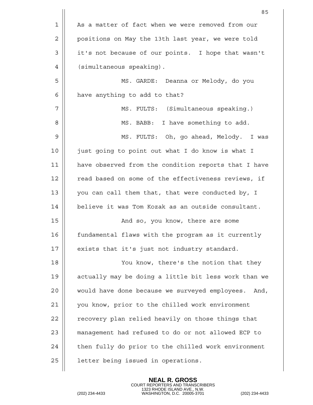|             | 85                                                   |
|-------------|------------------------------------------------------|
| $\mathbf 1$ | As a matter of fact when we were removed from our    |
| 2           | positions on May the 13th last year, we were told    |
| 3           | it's not because of our points. I hope that wasn't   |
| 4           | (simultaneous speaking).                             |
| 5           | MS. GARDE: Deanna or Melody, do you                  |
| 6           | have anything to add to that?                        |
| 7           | MS. FULTS: (Simultaneous speaking.)                  |
| 8           | MS. BABB: I have something to add.                   |
| 9           | MS. FULTS: Oh, go ahead, Melody. I was               |
| 10          | just going to point out what I do know is what I     |
| 11          | have observed from the condition reports that I have |
| 12          | read based on some of the effectiveness reviews, if  |
| 13          | you can call them that, that were conducted by, I    |
| 14          | believe it was Tom Kozak as an outside consultant.   |
| 15          | And so, you know, there are some                     |
| 16          | fundamental flaws with the program as it currently   |
| 17          | exists that it's just not industry standard.         |
| 18          | You know, there's the notion that they               |
| 19          | actually may be doing a little bit less work than we |
| 20          | would have done because we surveyed employees. And,  |
| 21          | you know, prior to the chilled work environment      |
| 22          | recovery plan relied heavily on those things that    |
| 23          | management had refused to do or not allowed ECP to   |
| 24          | then fully do prior to the chilled work environment  |
| 25          | letter being issued in operations.                   |
|             |                                                      |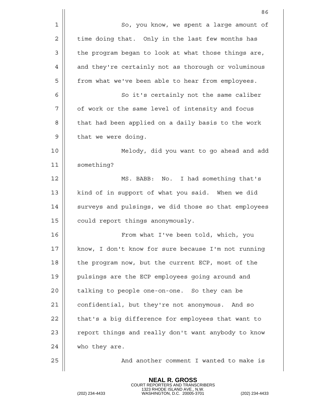|    | 86                                                   |
|----|------------------------------------------------------|
| 1  | So, you know, we spent a large amount of             |
| 2  | time doing that. Only in the last few months has     |
| 3  | the program began to look at what those things are,  |
| 4  | and they're certainly not as thorough or voluminous  |
| 5  | from what we've been able to hear from employees.    |
| 6  | So it's certainly not the same caliber               |
| 7  | of work or the same level of intensity and focus     |
| 8  | that had been applied on a daily basis to the work   |
| 9  | that we were doing.                                  |
| 10 | Melody, did you want to go ahead and add             |
| 11 | something?                                           |
| 12 | MS. BABB: No. I had something that's                 |
| 13 | kind of in support of what you said. When we did     |
| 14 | surveys and pulsings, we did those so that employees |
| 15 | could report things anonymously.                     |
| 16 | From what I've been told, which, you                 |
| 17 | know, I don't know for sure because I'm not running  |
| 18 | the program now, but the current ECP, most of the    |
| 19 | pulsings are the ECP employees going around and      |
| 20 | talking to people one-on-one. So they can be         |
| 21 | confidential, but they're not anonymous. And so      |
| 22 | that's a big difference for employees that want to   |
| 23 | report things and really don't want anybody to know  |
| 24 | who they are.                                        |
| 25 | And another comment I wanted to make is              |
|    |                                                      |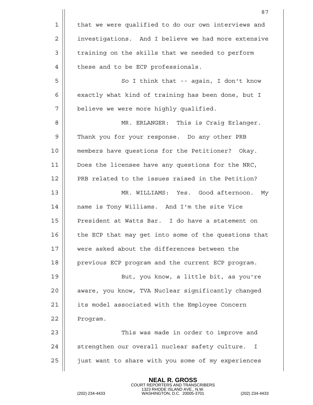|    | 87                                                   |
|----|------------------------------------------------------|
| 1  | that we were qualified to do our own interviews and  |
| 2  | investigations. And I believe we had more extensive  |
| 3  | training on the skills that we needed to perform     |
| 4  | these and to be ECP professionals.                   |
| 5  | So I think that -- again, I don't know               |
| 6  | exactly what kind of training has been done, but I   |
| 7  | believe we were more highly qualified.               |
| 8  | MR. ERLANGER: This is Craig Erlanger.                |
| 9  | Thank you for your response. Do any other PRB        |
| 10 | members have questions for the Petitioner? Okay.     |
| 11 | Does the licensee have any questions for the NRC,    |
| 12 | PRB related to the issues raised in the Petition?    |
| 13 | MR. WILLIAMS: Yes. Good afternoon.<br>Мy             |
| 14 | name is Tony Williams. And I'm the site Vice         |
| 15 | President at Watts Bar. I do have a statement on     |
| 16 | the ECP that may get into some of the questions that |
| 17 | were asked about the differences between the         |
| 18 | previous ECP program and the current ECP program.    |
| 19 | But, you know, a little bit, as you're               |
| 20 | aware, you know, TVA Nuclear significantly changed   |
| 21 | its model associated with the Employee Concern       |
| 22 | Program.                                             |
| 23 | This was made in order to improve and                |
| 24 | strengthen our overall nuclear safety culture.<br>I  |
| 25 | just want to share with you some of my experiences   |
|    |                                                      |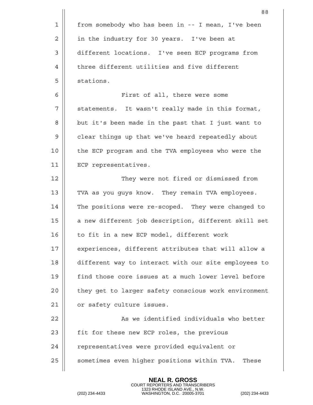|    | 88                                                   |
|----|------------------------------------------------------|
| 1  | from somebody who has been in -- I mean, I've been   |
| 2  | in the industry for 30 years. I've been at           |
| 3  | different locations. I've seen ECP programs from     |
| 4  | three different utilities and five different         |
| 5  | stations.                                            |
| 6  | First of all, there were some                        |
| 7  | statements. It wasn't really made in this format,    |
| 8  | but it's been made in the past that I just want to   |
| 9  | clear things up that we've heard repeatedly about    |
| 10 | the ECP program and the TVA employees who were the   |
| 11 | ECP representatives.                                 |
| 12 | They were not fired or dismissed from                |
| 13 | TVA as you guys know. They remain TVA employees.     |
| 14 | The positions were re-scoped. They were changed to   |
| 15 | a new different job description, different skill set |
| 16 | to fit in a new ECP model, different work            |
| 17 | experiences, different attributes that will allow a  |
| 18 | different way to interact with our site employees to |
| 19 | find those core issues at a much lower level before  |
| 20 | they get to larger safety conscious work environment |
| 21 | or safety culture issues.                            |
| 22 | As we identified individuals who better              |
| 23 | fit for these new ECP roles, the previous            |
| 24 | representatives were provided equivalent or          |
| 25 | sometimes even higher positions within TVA.<br>These |
|    |                                                      |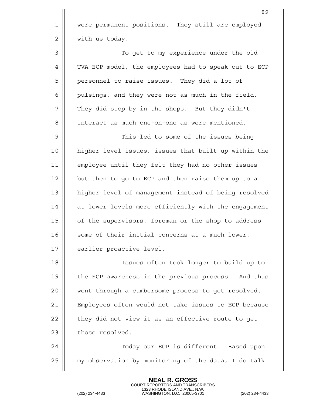89 1 | were permanent positions. They still are employed 2 | with us today. 3 To get to my experience under the old 4 || TVA ECP model, the employees had to speak out to ECP 5 | personnel to raise issues. They did a lot of  $6$  || pulsings, and they were not as much in the field. 7 || They did stop by in the shops. But they didn't 8 || interact as much one-on-one as were mentioned. 9 This led to some of the issues being 10 higher level issues, issues that built up within the 11 employee until they felt they had no other issues  $12$  | but then to go to ECP and then raise them up to a 13 | higher level of management instead of being resolved 14 || at lower levels more efficiently with the engagement 15 | of the supervisors, foreman or the shop to address  $16 \parallel$  some of their initial concerns at a much lower, 17 | earlier proactive level. 18 Issues often took longer to build up to 19 the ECP awareness in the previous process. And thus 20 || went through a cumbersome process to get resolved. 21 Employees often would not take issues to ECP because  $22$  | they did not view it as an effective route to get  $23$  | those resolved. 24 Today our ECP is different. Based upon  $25$   $\parallel$  my observation by monitoring of the data, I do talk

> **NEAL R. GROSS** COURT REPORTERS AND TRANSCRIBERS

1323 RHODE ISLAND AVE., N.W. (202) 234-4433 WASHINGTON, D.C. 20005-3701 (202) 234-4433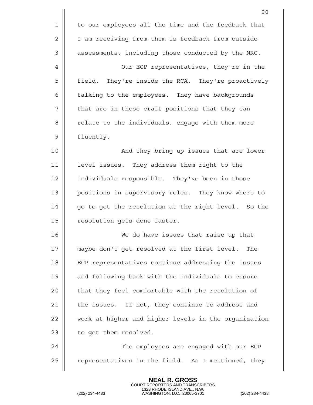|    | 90                                                   |
|----|------------------------------------------------------|
| 1  | to our employees all the time and the feedback that  |
| 2  | I am receiving from them is feedback from outside    |
| 3  | assessments, including those conducted by the NRC.   |
| 4  | Our ECP representatives, they're in the              |
| 5  | field. They're inside the RCA. They're proactively   |
| 6  | talking to the employees. They have backgrounds      |
| 7  | that are in those craft positions that they can      |
| 8  | relate to the individuals, engage with them more     |
| 9  | fluently.                                            |
| 10 | And they bring up issues that are lower              |
| 11 | level issues. They address them right to the         |
| 12 | individuals responsible. They've been in those       |
| 13 | positions in supervisory roles. They know where to   |
| 14 | go to get the resolution at the right level. So the  |
| 15 | resolution gets done faster.                         |
| 16 | We do have issues that raise up that                 |
| 17 | maybe don't get resolved at the first level.<br>The  |
| 18 | ECP representatives continue addressing the issues   |
| 19 | and following back with the individuals to ensure    |
| 20 | that they feel comfortable with the resolution of    |
| 21 | the issues. If not, they continue to address and     |
| 22 | work at higher and higher levels in the organization |
| 23 | to get them resolved.                                |
| 24 | The employees are engaged with our ECP               |
| 25 | representatives in the field. As I mentioned, they   |
|    |                                                      |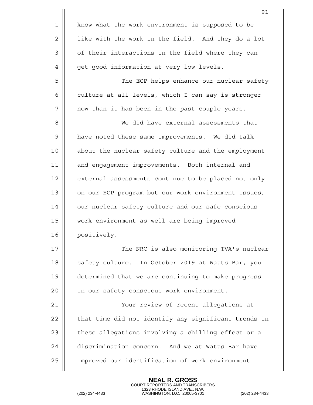|    | 91                                                   |
|----|------------------------------------------------------|
| 1  | know what the work environment is supposed to be     |
| 2  | like with the work in the field. And they do a lot   |
| 3  | of their interactions in the field where they can    |
| 4  | get good information at very low levels.             |
| 5  | The ECP helps enhance our nuclear safety             |
| 6  | culture at all levels, which I can say is stronger   |
| 7  | now than it has been in the past couple years.       |
| 8  | We did have external assessments that                |
| 9  | have noted these same improvements. We did talk      |
| 10 | about the nuclear safety culture and the employment  |
| 11 | and engagement improvements. Both internal and       |
| 12 | external assessments continue to be placed not only  |
| 13 | on our ECP program but our work environment issues,  |
| 14 | our nuclear safety culture and our safe conscious    |
| 15 | work environment as well are being improved          |
| 16 | positively.                                          |
| 17 | The NRC is also monitoring TVA's nuclear             |
| 18 | safety culture. In October 2019 at Watts Bar, you    |
| 19 | determined that we are continuing to make progress   |
| 20 | in our safety conscious work environment.            |
| 21 | Your review of recent allegations at                 |
| 22 | that time did not identify any significant trends in |
| 23 | these allegations involving a chilling effect or a   |
| 24 | discrimination concern. And we at Watts Bar have     |
| 25 | improved our identification of work environment      |
|    |                                                      |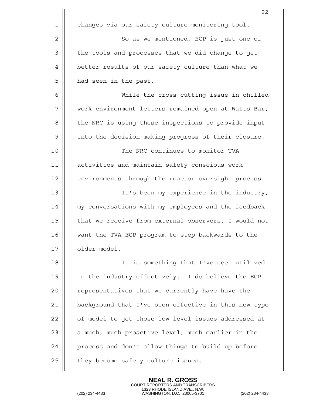|                | 92                                                   |
|----------------|------------------------------------------------------|
| 1              | changes via our safety culture monitoring tool.      |
| $\overline{2}$ | So as we mentioned, ECP is just one of               |
| 3              | the tools and processes that we did change to get    |
| 4              | better results of our safety culture than what we    |
| 5              | had seen in the past.                                |
| 6              | While the cross-cutting issue in chilled             |
| 7              | work environment letters remained open at Watts Bar, |
| 8              | the NRC is using these inspections to provide input  |
| 9              | into the decision-making progress of their closure.  |
| 10             | The NRC continues to monitor TVA                     |
| 11             | activities and maintain safety conscious work        |
| 12             | environments through the reactor oversight process.  |
| 13             | It's been my experience in the industry,             |
| 14             | my conversations with my employees and the feedback  |
| 15             | that we receive from external observers, I would not |
| 16             | want the TVA ECP program to step backwards to the    |
| 17             | older model.                                         |
| 18             | It is something that I've seen utilized              |
| 19             | in the industry effectively. I do believe the ECP    |
| 20             | representatives that we currently have have the      |
| 21             | background that I've seen effective in this new type |
| 22             | of model to get those low level issues addressed at  |
| 23             | a much, much proactive level, much earlier in the    |
| 24             | process and don't allow things to build up before    |
| 25             | they become safety culture issues.                   |
|                |                                                      |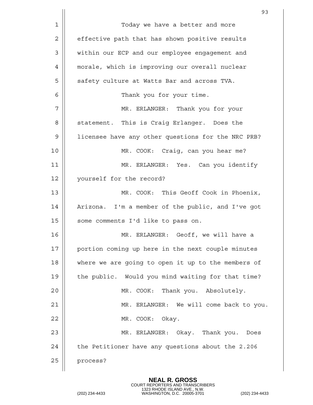|                | 93                                                 |
|----------------|----------------------------------------------------|
| $\mathbf 1$    | Today we have a better and more                    |
| $\overline{2}$ | effective path that has shown positive results     |
| 3              | within our ECP and our employee engagement and     |
| 4              | morale, which is improving our overall nuclear     |
| 5              | safety culture at Watts Bar and across TVA.        |
| 6              | Thank you for your time.                           |
| 7              | MR. ERLANGER: Thank you for your                   |
| 8              | statement. This is Craig Erlanger. Does the        |
| 9              | licensee have any other questions for the NRC PRB? |
| 10             | MR. COOK: Craig, can you hear me?                  |
| 11             | MR. ERLANGER: Yes. Can you identify                |
| 12             | yourself for the record?                           |
| 13             | MR. COOK: This Geoff Cook in Phoenix,              |
| 14             | Arizona. I'm a member of the public, and I've got  |
| 15             | some comments I'd like to pass on.                 |
| 16             | MR. ERLANGER:<br>Geoff, we will have a             |
| 17             | portion coming up here in the next couple minutes  |
| 18             | where we are going to open it up to the members of |
| 19             | the public. Would you mind waiting for that time?  |
| 20             | MR. COOK: Thank you. Absolutely.                   |
| 21             | MR. ERLANGER: We will come back to you.            |
| 22             | MR. COOK: Okay.                                    |
| 23             | MR. ERLANGER: Okay. Thank you. Does                |
| 24             | the Petitioner have any questions about the 2.206  |
| 25             | process?                                           |
|                |                                                    |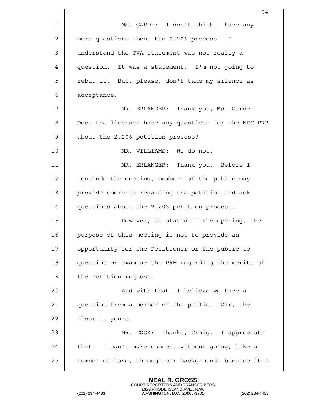|             | 94                                                   |
|-------------|------------------------------------------------------|
| $\mathbf 1$ | MS. GARDE: I don't think I have any                  |
| 2           | more questions about the 2.206 process. I            |
| 3           | understand the TVA statement was not really a        |
| 4           | question. It was a statement. I'm not going to       |
| 5           | rebut it. But, please, don't take my silence as      |
| 6           | acceptance.                                          |
| 7           | MR. ERLANGER: Thank you, Ms. Garde.                  |
| 8           | Does the licensee have any questions for the NRC PRB |
| 9           | about the 2.206 petition process?                    |
| 10          | MR. WILLIAMS: We do not.                             |
| 11          | MR. ERLANGER: Thank you. Before I                    |
| 12          | conclude the meeting, members of the public may      |
| 13          | provide comments regarding the petition and ask      |
| 14          | questions about the 2.206 petition process.          |
| 15          | However, as stated in the opening, the               |
| 16          | purpose of this meeting is not to provide an         |
| 17          | opportunity for the Petitioner or the public to      |
| 18          | question or examine the PRB regarding the merits of  |
| 19          | the Petition request.                                |
| 20          | And with that, I believe we have a                   |
| 21          | question from a member of the public. Sir, the       |
| 22          | floor is yours.                                      |
| 23          | MR. COOK: Thanks, Craig. I appreciate                |
| 24          | that. I can't make comment without going, like a     |
| 25          | number of have, through our backgrounds because it's |
|             |                                                      |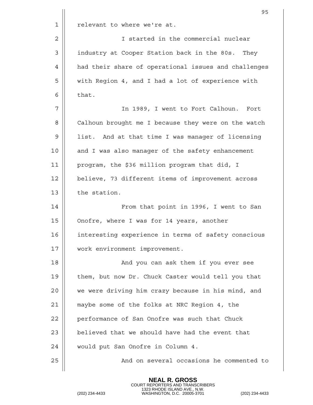|    | 95                                                   |
|----|------------------------------------------------------|
| 1  | relevant to where we're at.                          |
| 2  | I started in the commercial nuclear                  |
| 3  | industry at Cooper Station back in the 80s. They     |
| 4  | had their share of operational issues and challenges |
| 5  | with Region 4, and I had a lot of experience with    |
| 6  | that.                                                |
| 7  | In 1989, I went to Fort Calhoun. Fort                |
| 8  | Calhoun brought me I because they were on the watch  |
| 9  | list. And at that time I was manager of licensing    |
| 10 | and I was also manager of the safety enhancement     |
| 11 | program, the \$36 million program that did, I        |
| 12 | believe, 73 different items of improvement across    |
| 13 | the station.                                         |
| 14 | From that point in 1996, I went to San               |
| 15 | Onofre, where I was for 14 years, another            |
| 16 | interesting experience in terms of safety conscious  |
| 17 | work environment improvement.                        |
| 18 | And you can ask them if you ever see                 |
| 19 | them, but now Dr. Chuck Caster would tell you that   |
| 20 | we were driving him crazy because in his mind, and   |
| 21 | maybe some of the folks at NRC Region 4, the         |
| 22 | performance of San Onofre was such that Chuck        |
| 23 | believed that we should have had the event that      |
| 24 | would put San Onofre in Column 4.                    |
| 25 | And on several occasions he commented to             |
|    |                                                      |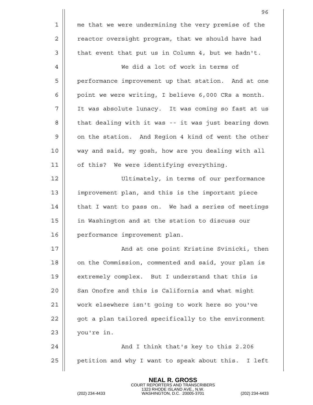|             | 96                                                   |
|-------------|------------------------------------------------------|
| $\mathbf 1$ | me that we were undermining the very premise of the  |
| 2           | reactor oversight program, that we should have had   |
| 3           | that event that put us in Column 4, but we hadn't.   |
| 4           | We did a lot of work in terms of                     |
| 5           | performance improvement up that station. And at one  |
| 6           | point we were writing, I believe 6,000 CRs a month.  |
| 7           | It was absolute lunacy. It was coming so fast at us  |
| 8           | that dealing with it was -- it was just bearing down |
| 9           | on the station. And Region 4 kind of went the other  |
| 10          | way and said, my gosh, how are you dealing with all  |
| 11          | of this? We were identifying everything.             |
| 12          | Ultimately, in terms of our performance              |
| 13          | improvement plan, and this is the important piece    |
| 14          | that I want to pass on. We had a series of meetings  |
| 15          | in Washington and at the station to discuss our      |
| 16          | performance improvement plan.                        |
| 17          | And at one point Kristine Svinicki, then             |
| 18          | on the Commission, commented and said, your plan is  |
| 19          | extremely complex. But I understand that this is     |
| 20          | San Onofre and this is California and what might     |
| 21          | work elsewhere isn't going to work here so you've    |
| 22          | got a plan tailored specifically to the environment  |
| 23          | you're in.                                           |
| 24          | And I think that's key to this 2.206                 |
| 25          | petition and why I want to speak about this. I left  |
|             |                                                      |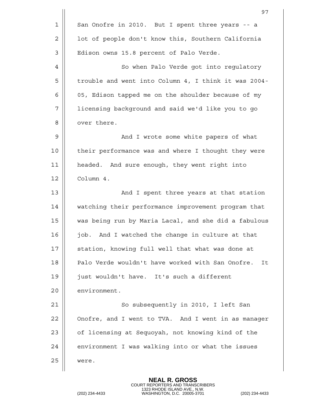|    | 97                                                     |
|----|--------------------------------------------------------|
| 1  | San Onofre in 2010. But I spent three years -- a       |
| 2  | lot of people don't know this, Southern California     |
| 3  | Edison owns 15.8 percent of Palo Verde.                |
| 4  | So when Palo Verde got into regulatory                 |
| 5  | trouble and went into Column 4, I think it was 2004-   |
| 6  | 05, Edison tapped me on the shoulder because of my     |
| 7  | licensing background and said we'd like you to go      |
| 8  | over there.                                            |
| 9  | And I wrote some white papers of what                  |
| 10 | their performance was and where I thought they were    |
| 11 | headed. And sure enough, they went right into          |
| 12 | Column 4.                                              |
| 13 | And I spent three years at that station                |
| 14 | watching their performance improvement program that    |
| 15 | was being run by Maria Lacal, and she did a fabulous   |
| 16 | job. And I watched the change in culture at that       |
| 17 | station, knowing full well that what was done at       |
| 18 | Palo Verde wouldn't have worked with San Onofre.<br>It |
| 19 | just wouldn't have. It's such a different              |
| 20 | environment.                                           |
| 21 | So subsequently in 2010, I left San                    |
| 22 | Onofre, and I went to TVA. And I went in as manager    |
| 23 | of licensing at Sequoyah, not knowing kind of the      |
| 24 | environment I was walking into or what the issues      |
| 25 | were.                                                  |
|    |                                                        |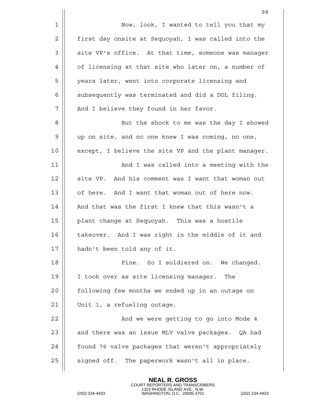|    | 98                                                   |
|----|------------------------------------------------------|
| 1  | Now, look, I wanted to tell you that my              |
| 2  | first day onsite at Sequoyah, I was called into the  |
| 3  | site VP's office. At that time, someone was manager  |
| 4  | of licensing at that site who later on, a number of  |
| 5  | years later, went into corporate licensing and       |
| 6  | subsequently was terminated and did a DOL filing.    |
| 7  | And I believe they found in her favor.               |
| 8  | But the shock to me was the day I showed             |
| 9  | up on site, and no one knew I was coming, no one,    |
| 10 | except, I believe the site VP and the plant manager. |
| 11 | And I was called into a meeting with the             |
| 12 | site VP. And his comment was I want that woman out   |
| 13 | of here. And I want that woman out of here now.      |
| 14 | And that was the first I knew that this wasn't a     |
| 15 | plant change at Sequoyah. This was a hostile         |
| 16 | takeover. And I was right in the middle of it and    |
| 17 | hadn't been told any of it.                          |
| 18 | Fine. So I soldiered on. We changed.                 |
| 19 | I took over as site licensing manager.<br>The        |
| 20 | following few months we ended up in an outage on     |
| 21 | Unit 1, a refueling outage.                          |
| 22 | And we were getting to go into Mode 4                |
| 23 | and there was an issue MLV valve packages. QA had    |
| 24 | found 76 valve packages that weren't appropriately   |
| 25 | signed off. The paperwork wasn't all in place.       |
|    |                                                      |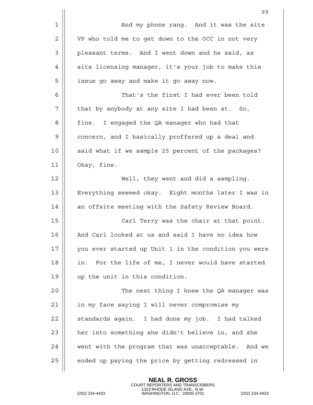|    | 99                                                   |
|----|------------------------------------------------------|
| 1  | And my phone rang. And it was the site               |
| 2  | VP who told me to get down to the OCC in not very    |
| 3  | pleasant terms. And I went down and he said, as      |
| 4  | site licensing manager, it's your job to make this   |
| 5  | issue go away and make it go away now.               |
| 6  | That's the first I had ever been told                |
| 7  | that by anybody at any site I had been at. So,       |
| 8  | I engaged the QA manager who had that<br>fine.       |
| 9  | concern, and I basically proffered up a deal and     |
| 10 | said what if we sample 25 percent of the packages?   |
| 11 | Okay, fine.                                          |
| 12 | Well, they went and did a sampling.                  |
| 13 | Everything seemed okay. Eight months later I was in  |
| 14 | an offsite meeting with the Safety Review Board.     |
| 15 | Carl Terry was the chair at that point.              |
| 16 | And Carl looked at us and said I have no idea how    |
| 17 | you ever started up Unit 1 in the condition you were |
| 18 | in. For the life of me, I never would have started   |
| 19 | up the unit in this condition.                       |
| 20 | The next thing I knew the QA manager was             |
| 21 | in my face saying I will never compromise my         |
| 22 | standards again. I had done my job. I had talked     |
| 23 | her into something she didn't believe in, and she    |
| 24 | went with the program that was unacceptable. And we  |
| 25 | ended up paying the price by getting redressed in    |
|    |                                                      |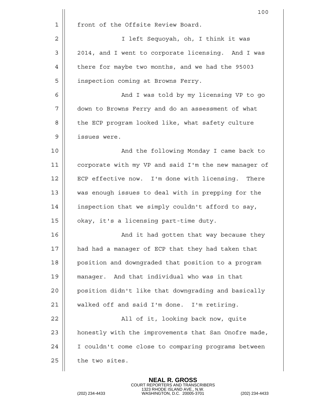|    | 100                                                  |
|----|------------------------------------------------------|
| 1  | front of the Offsite Review Board.                   |
| 2  | I left Sequoyah, oh, I think it was                  |
| 3  | 2014, and I went to corporate licensing. And I was   |
| 4  | there for maybe two months, and we had the 95003     |
| 5  | inspection coming at Browns Ferry.                   |
| 6  | And I was told by my licensing VP to go              |
| 7  | down to Browns Ferry and do an assessment of what    |
| 8  | the ECP program looked like, what safety culture     |
| 9  | issues were.                                         |
| 10 | And the following Monday I came back to              |
| 11 | corporate with my VP and said I'm the new manager of |
| 12 | ECP effective now. I'm done with licensing. There    |
| 13 | was enough issues to deal with in prepping for the   |
| 14 | inspection that we simply couldn't afford to say,    |
| 15 | okay, it's a licensing part-time duty.               |
| 16 | And it had gotten that way because they              |
| 17 | had had a manager of ECP that they had taken that    |
| 18 | position and downgraded that position to a program   |
| 19 | manager. And that individual who was in that         |
| 20 | position didn't like that downgrading and basically  |
| 21 | walked off and said I'm done. I'm retiring.          |
| 22 | All of it, looking back now, quite                   |
| 23 | honestly with the improvements that San Onofre made, |
| 24 | I couldn't come close to comparing programs between  |
| 25 | the two sites.                                       |
|    |                                                      |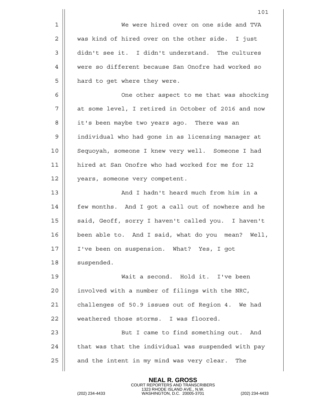|    | 101                                                 |
|----|-----------------------------------------------------|
| 1  | We were hired over on one side and TVA              |
| 2  | was kind of hired over on the other side. I just    |
| 3  | didn't see it. I didn't understand. The cultures    |
| 4  | were so different because San Onofre had worked so  |
| 5  | hard to get where they were.                        |
| 6  | One other aspect to me that was shocking            |
| 7  | at some level, I retired in October of 2016 and now |
| 8  | it's been maybe two years ago. There was an         |
| 9  | individual who had gone in as licensing manager at  |
| 10 | Sequoyah, someone I knew very well. Someone I had   |
| 11 | hired at San Onofre who had worked for me for 12    |
| 12 | years, someone very competent.                      |
| 13 | And I hadn't heard much from him in a               |
| 14 | few months. And I got a call out of nowhere and he  |
| 15 | said, Geoff, sorry I haven't called you. I haven't  |
| 16 | been able to. And I said, what do you mean? Well,   |
| 17 | I've been on suspension. What? Yes, I got           |
| 18 | suspended.                                          |
| 19 | Wait a second. Hold it. I've been                   |
| 20 | involved with a number of filings with the NRC,     |
| 21 | challenges of 50.9 issues out of Region 4. We had   |
| 22 | weathered those storms. I was floored.              |
| 23 | But I came to find something out. And               |
| 24 | that was that the individual was suspended with pay |
| 25 | and the intent in my mind was very clear.<br>The    |
|    |                                                     |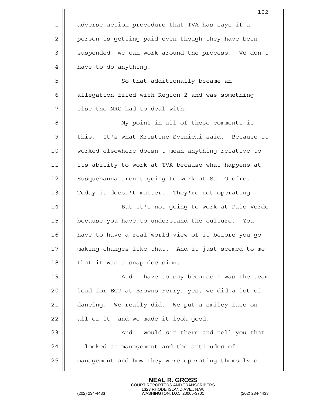|    | 102                                                 |
|----|-----------------------------------------------------|
| 1  | adverse action procedure that TVA has says if a     |
| 2  | person is getting paid even though they have been   |
| 3  | suspended, we can work around the process. We don't |
| 4  | have to do anything.                                |
| 5  | So that additionally became an                      |
| 6  | allegation filed with Region 2 and was something    |
| 7  | else the NRC had to deal with.                      |
| 8  | My point in all of these comments is                |
| 9  | this. It's what Kristine Svinicki said. Because it  |
| 10 | worked elsewhere doesn't mean anything relative to  |
| 11 | its ability to work at TVA because what happens at  |
| 12 | Susquehanna aren't going to work at San Onofre.     |
| 13 | Today it doesn't matter. They're not operating.     |
| 14 | But it's not going to work at Palo Verde            |
| 15 | because you have to understand the culture. You     |
| 16 | have to have a real world view of it before you go  |
| 17 | making changes like that. And it just seemed to me  |
| 18 | that it was a snap decision.                        |
| 19 | And I have to say because I was the team            |
| 20 | lead for ECP at Browns Ferry, yes, we did a lot of  |
| 21 | dancing. We really did. We put a smiley face on     |
| 22 | all of it, and we made it look good.                |
| 23 | And I would sit there and tell you that             |
| 24 | I looked at management and the attitudes of         |
| 25 | management and how they were operating themselves   |
|    |                                                     |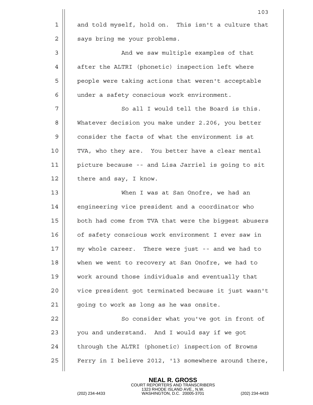|             | 103                                                  |
|-------------|------------------------------------------------------|
| $\mathbf 1$ | and told myself, hold on. This isn't a culture that  |
| 2           | says bring me your problems.                         |
| 3           | And we saw multiple examples of that                 |
| 4           | after the ALTRI (phonetic) inspection left where     |
| 5           | people were taking actions that weren't acceptable   |
| 6           | under a safety conscious work environment.           |
| 7           | So all I would tell the Board is this.               |
| 8           | Whatever decision you make under 2.206, you better   |
| 9           | consider the facts of what the environment is at     |
| 10          | TVA, who they are. You better have a clear mental    |
| 11          | picture because -- and Lisa Jarriel is going to sit  |
| 12          | there and say, I know.                               |
| 13          | When I was at San Onofre, we had an                  |
| 14          | engineering vice president and a coordinator who     |
| 15          | both had come from TVA that were the biggest abusers |
| 16          | of safety conscious work environment I ever saw in   |
| 17          | my whole career. There were just -- and we had to    |
| 18          | when we went to recovery at San Onofre, we had to    |
| 19          | work around those individuals and eventually that    |
| 20          | vice president got terminated because it just wasn't |
| 21          | going to work as long as he was onsite.              |
| 22          | So consider what you've got in front of              |
| 23          | you and understand. And I would say if we got        |
| 24          | through the ALTRI (phonetic) inspection of Browns    |
| 25          | Ferry in I believe 2012, '13 somewhere around there, |
|             |                                                      |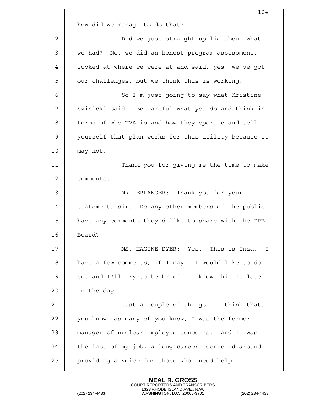|    | 104                                                  |
|----|------------------------------------------------------|
| 1  | how did we manage to do that?                        |
| 2  | Did we just straight up lie about what               |
| 3  | we had? No, we did an honest program assessment,     |
| 4  | looked at where we were at and said, yes, we've got  |
| 5  | our challenges, but we think this is working.        |
| 6  | So I'm just going to say what Kristine               |
| 7  | Svinicki said. Be careful what you do and think in   |
| 8  | terms of who TVA is and how they operate and tell    |
| 9  | yourself that plan works for this utility because it |
| 10 | may not.                                             |
| 11 | Thank you for giving me the time to make             |
| 12 | comments.                                            |
| 13 | MR. ERLANGER: Thank you for your                     |
| 14 | statement, sir. Do any other members of the public   |
| 15 | have any comments they'd like to share with the PRB  |
| 16 | Board?                                               |
| 17 | MS. HAGINE-DYER: Yes. This is Inza. I                |
| 18 | have a few comments, if I may. I would like to do    |
| 19 | so, and I'll try to be brief. I know this is late    |
| 20 | in the day.                                          |
| 21 | Just a couple of things. I think that,               |
| 22 | you know, as many of you know, I was the former      |
| 23 | manager of nuclear employee concerns. And it was     |
| 24 | the last of my job, a long career centered around    |
| 25 | providing a voice for those who need help            |
|    |                                                      |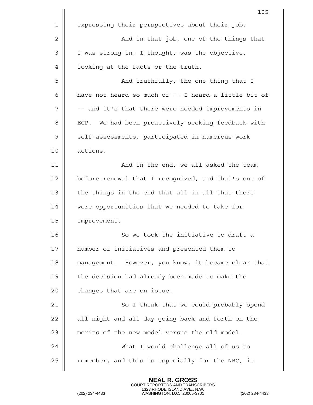|    | 105                                                  |
|----|------------------------------------------------------|
| 1  | expressing their perspectives about their job.       |
| 2  | And in that job, one of the things that              |
| 3  | I was strong in, I thought, was the objective,       |
| 4  | looking at the facts or the truth.                   |
| 5  | And truthfully, the one thing that I                 |
| 6  | have not heard so much of -- I heard a little bit of |
| 7  | -- and it's that there were needed improvements in   |
| 8  | ECP. We had been proactively seeking feedback with   |
| 9  | self-assessments, participated in numerous work      |
| 10 | actions.                                             |
| 11 | And in the end, we all asked the team                |
| 12 | before renewal that I recognized, and that's one of  |
| 13 | the things in the end that all in all that there     |
| 14 | were opportunities that we needed to take for        |
| 15 | improvement.                                         |
| 16 | So we took the initiative to draft a                 |
| 17 | number of initiatives and presented them to          |
| 18 | management. However, you know, it became clear that  |
| 19 | the decision had already been made to make the       |
| 20 | changes that are on issue.                           |
| 21 | So I think that we could probably spend              |
| 22 | all night and all day going back and forth on the    |
| 23 | merits of the new model versus the old model.        |
| 24 | What I would challenge all of us to                  |
| 25 | remember, and this is especially for the NRC, is     |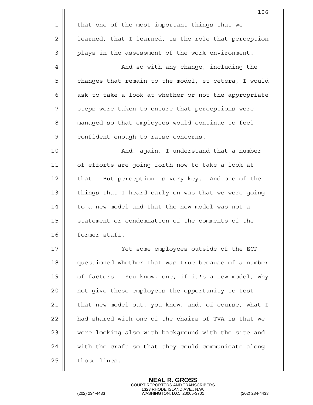|    | 106                                                  |
|----|------------------------------------------------------|
| 1  | that one of the most important things that we        |
| 2  | learned, that I learned, is the role that perception |
| 3  | plays in the assessment of the work environment.     |
| 4  | And so with any change, including the                |
| 5  | changes that remain to the model, et cetera, I would |
| 6  | ask to take a look at whether or not the appropriate |
| 7  | steps were taken to ensure that perceptions were     |
| 8  | managed so that employees would continue to feel     |
| 9  | confident enough to raise concerns.                  |
| 10 | And, again, I understand that a number               |
| 11 | of efforts are going forth now to take a look at     |
| 12 | that. But perception is very key. And one of the     |
| 13 | things that I heard early on was that we were going  |
| 14 | to a new model and that the new model was not a      |
| 15 | statement or condemnation of the comments of the     |
| 16 | former staff.                                        |
| 17 | Yet some employees outside of the ECP                |
| 18 | questioned whether that was true because of a number |
| 19 | of factors. You know, one, if it's a new model, why  |
| 20 | not give these employees the opportunity to test     |
| 21 | that new model out, you know, and, of course, what I |
| 22 | had shared with one of the chairs of TVA is that we  |
| 23 | were looking also with background with the site and  |
| 24 | with the craft so that they could communicate along  |
| 25 | those lines.                                         |
|    |                                                      |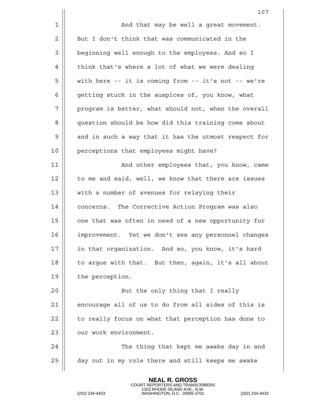|    | 107                                                  |
|----|------------------------------------------------------|
| 1  | And that may be well a great movement.               |
| 2  | But I don't think that was communicated in the       |
| 3  | beginning well enough to the employees. And so I     |
| 4  | think that's where a lot of what we were dealing     |
| 5  | with here -- it is coming from -- it's not -- we're  |
| 6  | getting stuck in the auspices of, you know, what     |
| 7  | program is better, what should not, when the overall |
| 8  | question should be how did this training come about  |
| 9  | and in such a way that it has the utmost respect for |
| 10 | perceptions that employees might have?               |
| 11 | And other employees that, you know, came             |
| 12 | to me and said, well, we know that there are issues  |
| 13 | with a number of avenues for relaying their          |
| 14 | concerns. The Corrective Action Program was also     |
| 15 | one that was often in need of a new opportunity for  |
| 16 | improvement. Yet we don't see any personnel changes  |
| 17 | in that organization. And so, you know, it's hard    |
| 18 | to argue with that. But then, again, it's all about  |
| 19 | the perception.                                      |
| 20 | But the only thing that I really                     |
| 21 | encourage all of us to do from all sides of this is  |
| 22 | to really focus on what that perception has done to  |
| 23 | our work environment.                                |
| 24 | The thing that kept me awake day in and              |
| 25 | day out in my role there and still keeps me awake    |
|    |                                                      |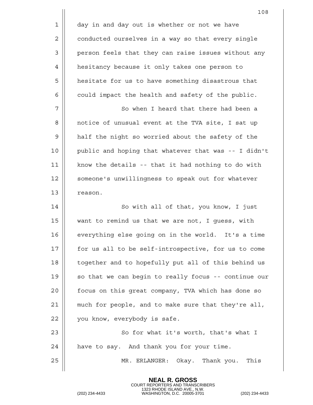|    | 108                                                  |
|----|------------------------------------------------------|
| 1  | day in and day out is whether or not we have         |
| 2  | conducted ourselves in a way so that every single    |
| 3  | person feels that they can raise issues without any  |
| 4  | hesitancy because it only takes one person to        |
| 5  | hesitate for us to have something disastrous that    |
| 6  | could impact the health and safety of the public.    |
| 7  | So when I heard that there had been a                |
| 8  | notice of unusual event at the TVA site, I sat up    |
| 9  | half the night so worried about the safety of the    |
| 10 | public and hoping that whatever that was -- I didn't |
| 11 | know the details -- that it had nothing to do with   |
| 12 | someone's unwillingness to speak out for whatever    |
| 13 | reason.                                              |
| 14 | So with all of that, you know, I just                |
| 15 | want to remind us that we are not, I guess, with     |
| 16 | everything else going on in the world. It's a time   |
| 17 | for us all to be self-introspective, for us to come  |
| 18 | together and to hopefully put all of this behind us  |
| 19 | so that we can begin to really focus -- continue our |
| 20 | focus on this great company, TVA which has done so   |
| 21 | much for people, and to make sure that they're all,  |
| 22 | you know, everybody is safe.                         |
| 23 | So for what it's worth, that's what I                |
| 24 | have to say. And thank you for your time.            |
| 25 | MR. ERLANGER:<br>Okay. Thank you.<br>This            |

**NEAL R. GROSS**

COURT REPORTERS AND TRANSCRIBERS 1323 RHODE ISLAND AVE., N.W. (202) 234-4433 WASHINGTON, D.C. 20005-3701 (202) 234-4433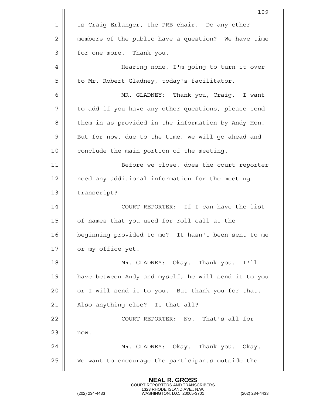|    | 109                                                  |
|----|------------------------------------------------------|
| 1  | is Craig Erlanger, the PRB chair. Do any other       |
| 2  | members of the public have a question? We have time  |
| 3  | for one more. Thank you.                             |
| 4  | Hearing none, I'm going to turn it over              |
| 5  | to Mr. Robert Gladney, today's facilitator.          |
| 6  | MR. GLADNEY: Thank you, Craig. I want                |
| 7  | to add if you have any other questions, please send  |
| 8  | them in as provided in the information by Andy Hon.  |
| 9  | But for now, due to the time, we will go ahead and   |
| 10 | conclude the main portion of the meeting.            |
| 11 | Before we close, does the court reporter             |
| 12 | need any additional information for the meeting      |
| 13 | transcript?                                          |
| 14 | COURT REPORTER: If I can have the list               |
| 15 | of names that you used for roll call at the          |
| 16 | beginning provided to me? It hasn't been sent to me  |
| 17 | or my office yet.                                    |
| 18 | MR. GLADNEY: Okay. Thank you. I'll                   |
| 19 | have between Andy and myself, he will send it to you |
| 20 | or I will send it to you. But thank you for that.    |
| 21 | Also anything else? Is that all?                     |
| 22 | COURT REPORTER: No. That's all for                   |
| 23 | now.                                                 |
| 24 | MR. GLADNEY: Okay. Thank you. Okay.                  |
| 25 | We want to encourage the participants outside the    |
|    |                                                      |

**NEAL R. GROSS**

COURT REPORTERS AND TRANSCRIBERS 1323 RHODE ISLAND AVE., N.W. (202) 234-4433 WASHINGTON, D.C. 20005-3701 (202) 234-4433